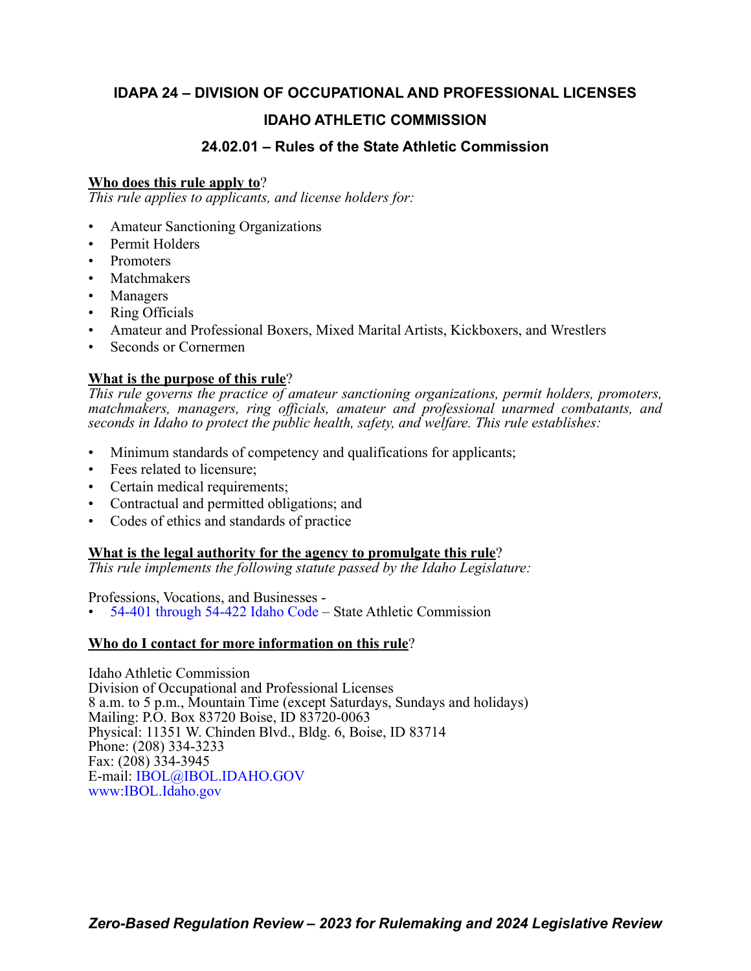# **IDAPA 24 – DIVISION OF OCCUPATIONAL AND PROFESSIONAL LICENSES IDAHO ATHLETIC COMMISSION**

# **24.02.01 – Rules of the State Athletic Commission**

# **Who does this rule apply to**?

*This rule applies to applicants, and license holders for:*

- Amateur Sanctioning Organizations
- Permit Holders
- Promoters
- **Matchmakers**
- Managers
- Ring Officials
- Amateur and Professional Boxers, Mixed Marital Artists, Kickboxers, and Wrestlers
- Seconds or Cornermen

# **What is the purpose of this rule**?

*This rule governs the practice of amateur sanctioning organizations, permit holders, promoters, matchmakers, managers, ring officials, amateur and professional unarmed combatants, and seconds in Idaho to protect the public health, safety, and welfare. This rule establishes:*

- Minimum standards of competency and qualifications for applicants;
- Fees related to licensure:
- Certain medical requirements;
- Contractual and permitted obligations; and
- Codes of ethics and standards of practice

# **What is the legal authority for the agency to promulgate this rule**?

*This rule implements the following statute passed by the Idaho Legislature:*

Professions, Vocations, and Businesses -

• [54-401 through 54-422 Idaho Code](https://legislature.idaho.gov/statutesrules/idstat/Title54/T54CH4/) – State Athletic Commission

# **Who do I contact for more information on this rule**?

Idaho Athletic Commission Division of Occupational and Professional Licenses 8 a.m. to 5 p.m., Mountain Time (except Saturdays, Sundays and holidays) Mailing: P.O. Box 83720 Boise, ID 83720-0063 Physical: 11351 W. Chinden Blvd., Bldg. 6, Boise, ID 83714 Phone: (208) 334-3233 Fax: (208) 334-3945 E-mail: [IBOL@IBOL.IDAHO.GOV](mailto: IBOL@IBOL.IDAHO.GOV) [www:IBOL.Idaho.gov](http://www.ibol.idaho.gov/)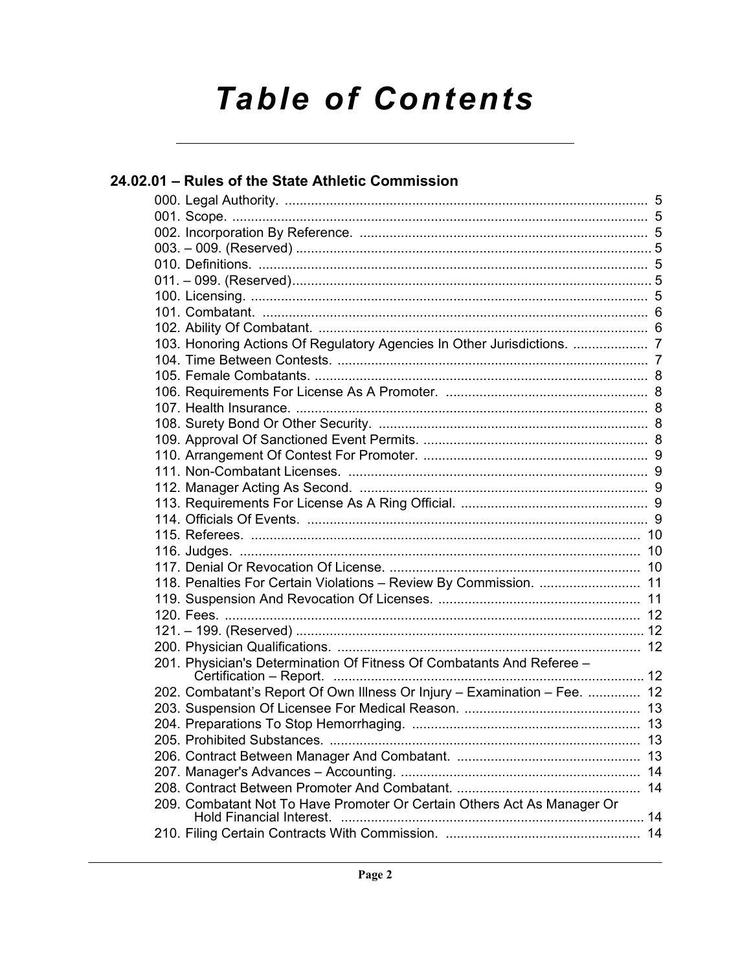# **Table of Contents**

| 24.02.01 - Rules of the State Athletic Commission                         |  |
|---------------------------------------------------------------------------|--|
|                                                                           |  |
|                                                                           |  |
|                                                                           |  |
|                                                                           |  |
|                                                                           |  |
|                                                                           |  |
|                                                                           |  |
|                                                                           |  |
|                                                                           |  |
| 103. Honoring Actions Of Regulatory Agencies In Other Jurisdictions.  7   |  |
|                                                                           |  |
|                                                                           |  |
|                                                                           |  |
|                                                                           |  |
|                                                                           |  |
|                                                                           |  |
|                                                                           |  |
|                                                                           |  |
|                                                                           |  |
|                                                                           |  |
|                                                                           |  |
|                                                                           |  |
|                                                                           |  |
|                                                                           |  |
| 118. Penalties For Certain Violations - Review By Commission.  11         |  |
|                                                                           |  |
|                                                                           |  |
|                                                                           |  |
|                                                                           |  |
| 201. Physician's Determination Of Fitness Of Combatants And Referee -     |  |
| 202. Combatant's Report Of Own Illness Or Injury - Examination - Fee.  12 |  |
|                                                                           |  |
|                                                                           |  |
|                                                                           |  |
|                                                                           |  |
|                                                                           |  |
|                                                                           |  |
| 209. Combatant Not To Have Promoter Or Certain Others Act As Manager Or   |  |
|                                                                           |  |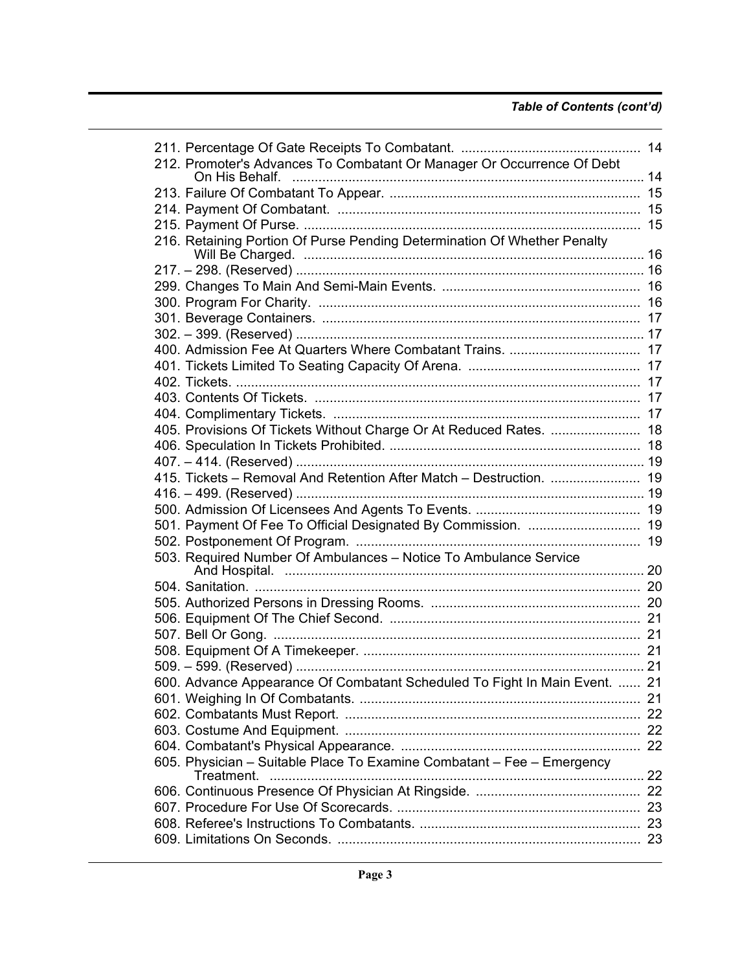| 212. Promoter's Advances To Combatant Or Manager Or Occurrence Of Debt     |  |
|----------------------------------------------------------------------------|--|
|                                                                            |  |
|                                                                            |  |
|                                                                            |  |
|                                                                            |  |
| 216. Retaining Portion Of Purse Pending Determination Of Whether Penalty   |  |
|                                                                            |  |
|                                                                            |  |
|                                                                            |  |
|                                                                            |  |
|                                                                            |  |
|                                                                            |  |
|                                                                            |  |
|                                                                            |  |
|                                                                            |  |
|                                                                            |  |
|                                                                            |  |
| 405. Provisions Of Tickets Without Charge Or At Reduced Rates.  18         |  |
|                                                                            |  |
|                                                                            |  |
| 415. Tickets - Removal And Retention After Match - Destruction.  19        |  |
|                                                                            |  |
|                                                                            |  |
| 501. Payment Of Fee To Official Designated By Commission.  19              |  |
|                                                                            |  |
| 503. Required Number Of Ambulances - Notice To Ambulance Service           |  |
|                                                                            |  |
|                                                                            |  |
|                                                                            |  |
|                                                                            |  |
|                                                                            |  |
|                                                                            |  |
|                                                                            |  |
| 600. Advance Appearance Of Combatant Scheduled To Fight In Main Event.  21 |  |
|                                                                            |  |
|                                                                            |  |
|                                                                            |  |
|                                                                            |  |
| 605. Physician - Suitable Place To Examine Combatant - Fee - Emergency     |  |
|                                                                            |  |
|                                                                            |  |
|                                                                            |  |
|                                                                            |  |
|                                                                            |  |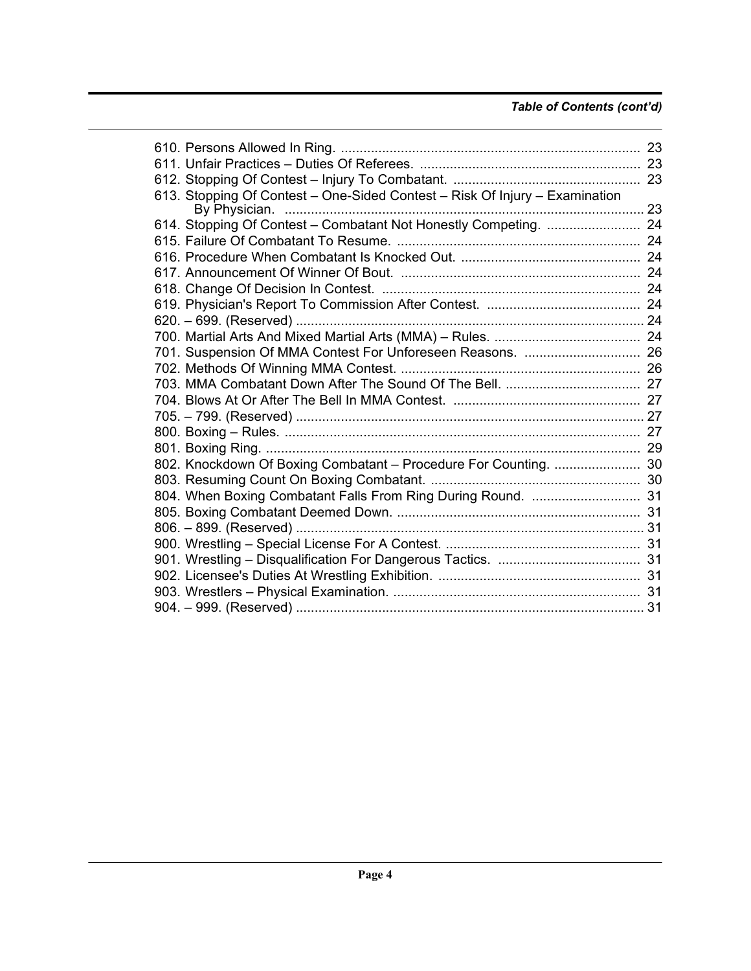# *Table of Contents (cont'd)*

| 613. Stopping Of Contest - One-Sided Contest - Risk Of Injury - Examination |  |
|-----------------------------------------------------------------------------|--|
|                                                                             |  |
| 614. Stopping Of Contest - Combatant Not Honestly Competing.  24            |  |
|                                                                             |  |
|                                                                             |  |
|                                                                             |  |
|                                                                             |  |
|                                                                             |  |
|                                                                             |  |
|                                                                             |  |
|                                                                             |  |
|                                                                             |  |
|                                                                             |  |
|                                                                             |  |
|                                                                             |  |
|                                                                             |  |
|                                                                             |  |
| 802. Knockdown Of Boxing Combatant - Procedure For Counting.  30            |  |
|                                                                             |  |
|                                                                             |  |
|                                                                             |  |
|                                                                             |  |
|                                                                             |  |
|                                                                             |  |
|                                                                             |  |
|                                                                             |  |
|                                                                             |  |
|                                                                             |  |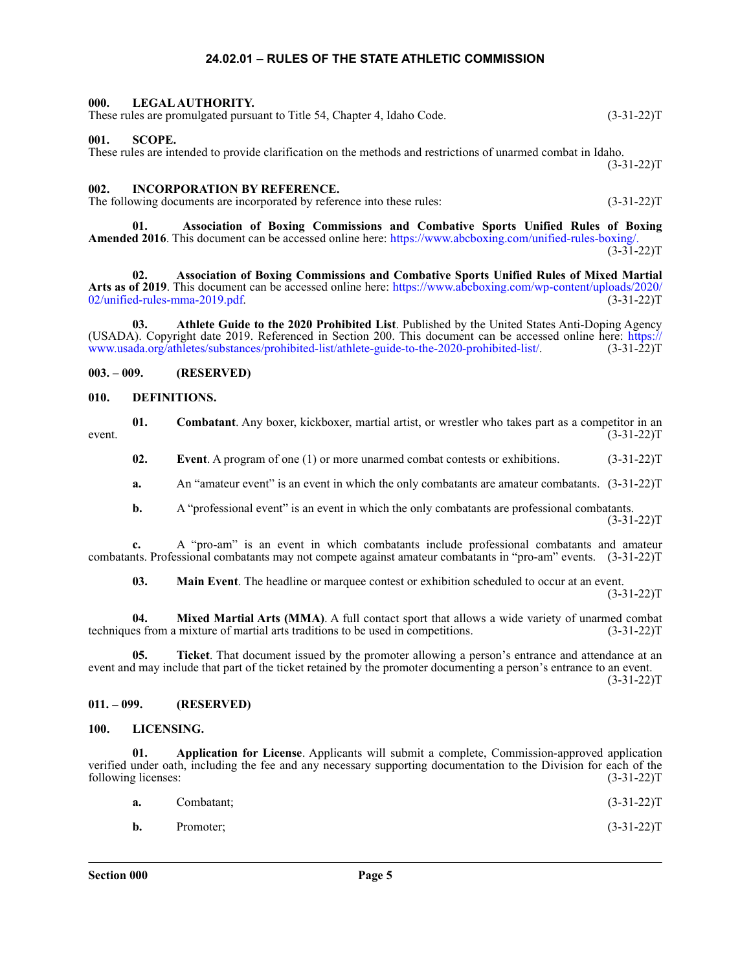# **24.02.01 – RULES OF THE STATE ATHLETIC COMMISSION**

#### <span id="page-4-1"></span><span id="page-4-0"></span>**000. LEGAL AUTHORITY.** These rules are promulgated pursuant to Title 54, Chapter 4, Idaho Code. (3-31-22)T

#### <span id="page-4-2"></span>**001. SCOPE.**

These rules are intended to provide clarification on the methods and restrictions of unarmed combat in Idaho.  $(3-31-22)T$ 

#### <span id="page-4-3"></span>**002. INCORPORATION BY REFERENCE.**

The following documents are incorporated by reference into these rules: (3-31-22)T

**01. Association of Boxing Commissions and Combative Sports Unified Rules of Boxing**

**Amended 2016**. This document can be accessed online here: [https://www.abcboxing.com/unified-rules-boxing/.](https://www.abcboxing.com/unified-rules-boxing/)  $(3-31-22)T$ 

**02. Association of Boxing Commissions and Combative Sports Unified Rules of Mixed Martial Arts as of 2019**. This document can be accessed online here: [https://www.abcboxing.com/wp-content/uploads/2020/](https://www.abcboxing.com/wp-content/uploads/2020/02/unified-rules-mma-2019.pdf)  $02$ /unified-rules-mma-2019.pdf. (3-31-22)T

**03. Athlete Guide to the 2020 Prohibited List**. Published by the United States Anti-Doping Agency (USADA). Copyright date 2019. Referenced in Section 200. This document can be accessed online here: [https://](https://www.usada.org/athletes/substances/prohibited-list/athlete-guide-to-the-2020-prohibited-list/) [www.usada.org/athletes/substances/prohibited-list/athlete-guide-to-the-2020-prohibited-list/.](https://www.usada.org/athletes/substances/prohibited-list/athlete-guide-to-the-2020-prohibited-list/) (3-31-22)T

## <span id="page-4-4"></span>**003. – 009. (RESERVED)**

#### <span id="page-4-5"></span>**010. DEFINITIONS.**

**01.** Combatant. Any boxer, kickboxer, martial artist, or wrestler who takes part as a competitor in an (3-31-22)  $(3-31-22)T$  (3-31-22)T

**02.** Event. A program of one (1) or more unarmed combat contests or exhibitions. (3-31-22)T

**a.** An "amateur event" is an event in which the only combatants are amateur combatants. (3-31-22)T

**b.** A "professional event" is an event in which the only combatants are professional combatants.  $(3-31-22)T$ 

**c.** A "pro-am" is an event in which combatants include professional combatants and amateur combatants. Professional combatants may not compete against amateur combatants in "pro-am" events. (3-31-22)T

**03.** Main Event. The headline or marquee contest or exhibition scheduled to occur at an event.  $(3-31-22)T$ 

**04. Mixed Martial Arts (MMA)**. A full contact sport that allows a wide variety of unarmed combat techniques from a mixture of martial arts traditions to be used in competitions. (3-31-22)T

**05. Ticket**. That document issued by the promoter allowing a person's entrance and attendance at an event and may include that part of the ticket retained by the promoter documenting a person's entrance to an event.  $(3-31-22)T$ 

# <span id="page-4-6"></span>**011. – 099. (RESERVED)**

#### <span id="page-4-7"></span>**100. LICENSING.**

**01. Application for License**. Applicants will submit a complete, Commission-approved application verified under oath, including the fee and any necessary supporting documentation to the Division for each of the following licenses: (3-31-22) following licenses:

|                | <b>a.</b> Combatant: | $(3-31-22)T$ |
|----------------|----------------------|--------------|
| $\mathbf{b}$ . | Promoter;            | $(3-31-22)T$ |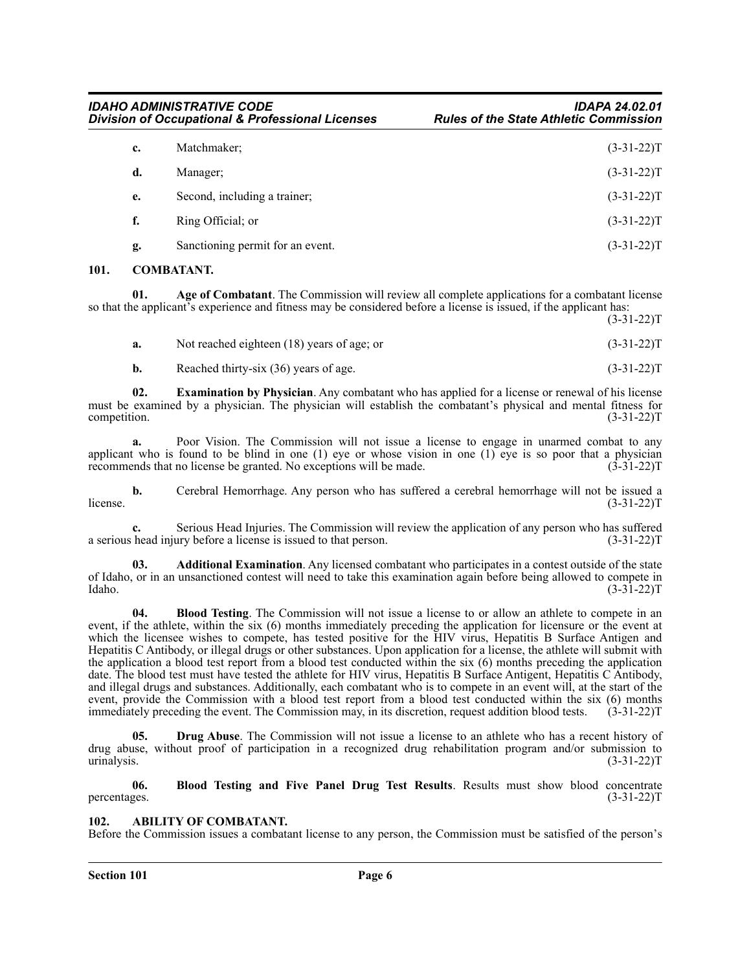| c. | Matchmaker;                      | $(3-31-22)T$ |
|----|----------------------------------|--------------|
| d. | Manager;                         | $(3-31-22)T$ |
| e. | Second, including a trainer;     | $(3-31-22)T$ |
| f. | Ring Official; or                | $(3-31-22)T$ |
| g. | Sanctioning permit for an event. | $(3-31-22)T$ |

#### <span id="page-5-0"></span>**101. COMBATANT.**

**01. Age of Combatant**. The Commission will review all complete applications for a combatant license so that the applicant's experience and fitness may be considered before a license is issued, if the applicant has:  $(3-31-22)T$ 

| Not reached eighteen (18) years of age; or | $(3-31-22)T$ |
|--------------------------------------------|--------------|
| Reached thirty-six (36) years of age.      | $(3-31-22)T$ |

**02. Examination by Physician**. Any combatant who has applied for a license or renewal of his license must be examined by a physician. The physician will establish the combatant's physical and mental fitness for competition. (3-31-22) competition.  $(3-31-22)T$ 

**a.** Poor Vision. The Commission will not issue a license to engage in unarmed combat to any applicant who is found to be blind in one  $(1)$  eye or whose vision in one  $(1)$  eye is so poor that a physician recommends that no license be granted. No exceptions will be made. (3-31-22)T

**b.** Cerebral Hemorrhage. Any person who has suffered a cerebral hemorrhage will not be issued a license.  $(3-31-22)T$ 

**c.** Serious Head Injuries. The Commission will review the application of any person who has suffered a serious head injury before a license is issued to that person. (3-31-22)T

**03. Additional Examination**. Any licensed combatant who participates in a contest outside of the state of Idaho, or in an unsanctioned contest will need to take this examination again before being allowed to compete in Idaho.  $(3-3\overline{1}-22)\text{T}$ 

**04. Blood Testing**. The Commission will not issue a license to or allow an athlete to compete in an event, if the athlete, within the six (6) months immediately preceding the application for licensure or the event at which the licensee wishes to compete, has tested positive for the HIV virus, Hepatitis B Surface Antigen and Hepatitis C Antibody, or illegal drugs or other substances. Upon application for a license, the athlete will submit with the application a blood test report from a blood test conducted within the six  $(6)$  months preceding the application date. The blood test must have tested the athlete for HIV virus, Hepatitis B Surface Antigent, Hepatitis C Antibody, and illegal drugs and substances. Additionally, each combatant who is to compete in an event will, at the start of the event, provide the Commission with a blood test report from a blood test conducted within the six (6) months immediately preceding the event. The Commission may, in its discretion, request addition blood tests.  $(3-31-22)$ T

**05. Drug Abuse**. The Commission will not issue a license to an athlete who has a recent history of drug abuse, without proof of participation in a recognized drug rehabilitation program and/or submission to urinalysis. (3-31-22)T

**06. Blood Testing and Five Panel Drug Test Results**. Results must show blood concentrate percentages.  $(3-31-22)T$ 

#### <span id="page-5-1"></span>**102. ABILITY OF COMBATANT.**

Before the Commission issues a combatant license to any person, the Commission must be satisfied of the person's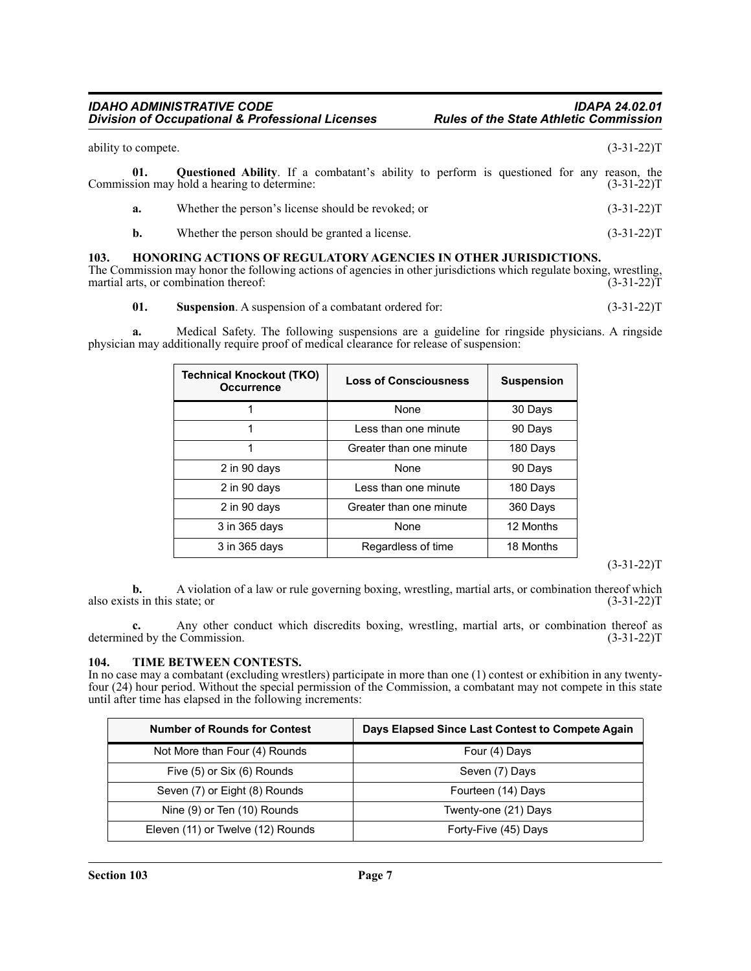| ability to compete. |                                                                                                                                                 | $(3-31-22)T$ |
|---------------------|-------------------------------------------------------------------------------------------------------------------------------------------------|--------------|
| 01.                 | <b>Questioned Ability.</b> If a combatant's ability to perform is questioned for any reason, the<br>Commission may hold a hearing to determine: | $(3-31-22)T$ |
| a.                  | Whether the person's license should be revoked; or                                                                                              | $(3-31-22)T$ |
| b.                  | Whether the person should be granted a license.                                                                                                 | $(3-31-22)T$ |
|                     |                                                                                                                                                 |              |

# <span id="page-6-0"></span>**103. HONORING ACTIONS OF REGULATORY AGENCIES IN OTHER JURISDICTIONS.**

The Commission may honor the following actions of agencies in other jurisdictions which regulate boxing, wrestling, martial arts, or combination thereof: (3-31-22) martial arts, or combination thereof:

**01.** Suspension. A suspension of a combatant ordered for: (3-31-22)T

**a.** Medical Safety. The following suspensions are a guideline for ringside physicians. A ringside physician may additionally require proof of medical clearance for release of suspension:

| <b>Technical Knockout (TKO)</b><br><b>Occurrence</b> | <b>Loss of Consciousness</b> | <b>Suspension</b> |
|------------------------------------------------------|------------------------------|-------------------|
|                                                      | None                         | 30 Days           |
|                                                      | Less than one minute         | 90 Days           |
|                                                      | Greater than one minute      | 180 Days          |
| 2 in 90 days                                         | None                         | 90 Days           |
| 2 in 90 days                                         | Less than one minute         | 180 Days          |
| 2 in 90 days                                         | Greater than one minute      | 360 Days          |
| 3 in 365 days                                        | None                         | 12 Months         |
| 3 in 365 days                                        | Regardless of time           | 18 Months         |

# $(3-31-22)T$

**b.** A violation of a law or rule governing boxing, wrestling, martial arts, or combination thereof which also exists in this state; or (3-31-22)T

**c.** Any other conduct which discredits boxing, wrestling, martial arts, or combination thereof as ed by the Commission. (3-31-22) determined by the Commission.

#### <span id="page-6-1"></span>**104. TIME BETWEEN CONTESTS.**

In no case may a combatant (excluding wrestlers) participate in more than one (1) contest or exhibition in any twentyfour (24) hour period. Without the special permission of the Commission, a combatant may not compete in this state until after time has elapsed in the following increments:

| <b>Number of Rounds for Contest</b> | Days Elapsed Since Last Contest to Compete Again |
|-------------------------------------|--------------------------------------------------|
| Not More than Four (4) Rounds       | Four (4) Days                                    |
| Five (5) or Six (6) Rounds          | Seven (7) Days                                   |
| Seven (7) or Eight (8) Rounds       | Fourteen (14) Days                               |
| Nine (9) or Ten (10) Rounds         | Twenty-one (21) Days                             |
| Eleven (11) or Twelve (12) Rounds   | Forty-Five (45) Days                             |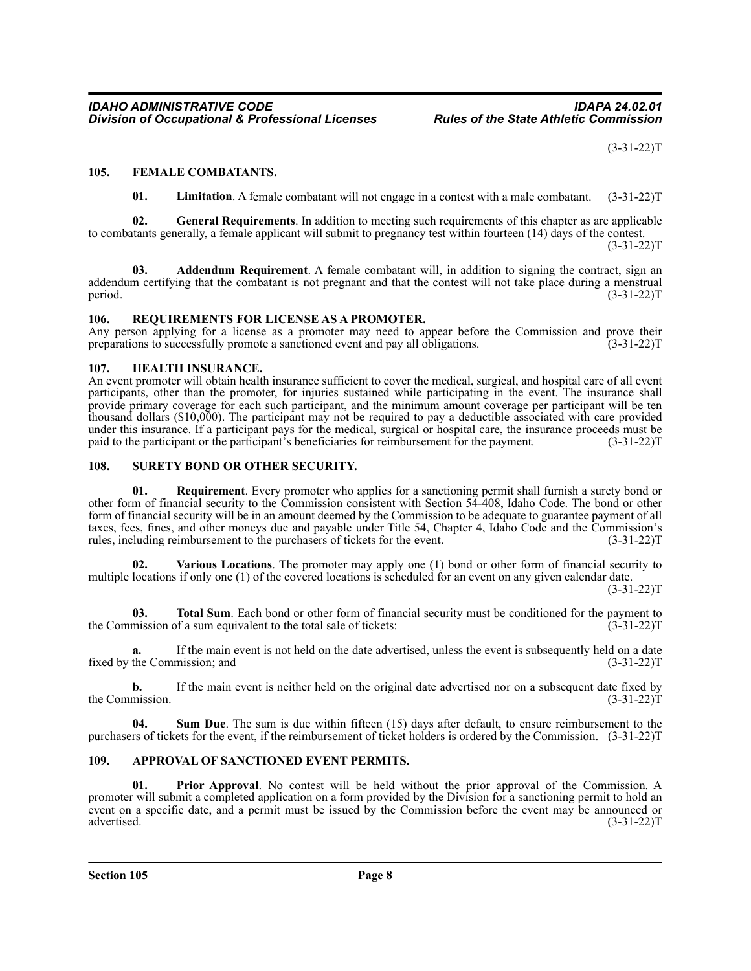$(3-31-22)T$ 

# <span id="page-7-0"></span>**105. FEMALE COMBATANTS.**

**01. Limitation**. A female combatant will not engage in a contest with a male combatant. (3-31-22)T

**02. General Requirements**. In addition to meeting such requirements of this chapter as are applicable to combatants generally, a female applicant will submit to pregnancy test within fourteen (14) days of the contest.

 $(3-31-22)T$ 

**03. Addendum Requirement**. A female combatant will, in addition to signing the contract, sign an addendum certifying that the combatant is not pregnant and that the contest will not take place during a menstrual period. (3-31-22) period.  $(3-31-22)T$ 

# <span id="page-7-1"></span>**106. REQUIREMENTS FOR LICENSE AS A PROMOTER.**

Any person applying for a license as a promoter may need to appear before the Commission and prove their preparations to successfully promote a sanctioned event and pay all obligations. (3-31-22) preparations to successfully promote a sanctioned event and pay all obligations.

#### <span id="page-7-2"></span>**107. HEALTH INSURANCE.**

An event promoter will obtain health insurance sufficient to cover the medical, surgical, and hospital care of all event participants, other than the promoter, for injuries sustained while participating in the event. The insurance shall provide primary coverage for each such participant, and the minimum amount coverage per participant will be ten thousand dollars (\$10,000). The participant may not be required to pay a deductible associated with care provided under this insurance. If a participant pays for the medical, surgical or hospital care, the insurance proceeds must be paid to the participant or the participant's beneficiaries for reimbursement for the payment. (3-31-22)T

# <span id="page-7-3"></span>**108. SURETY BOND OR OTHER SECURITY.**

**01. Requirement**. Every promoter who applies for a sanctioning permit shall furnish a surety bond or other form of financial security to the Commission consistent with Section 54-408, Idaho Code. The bond or other form of financial security will be in an amount deemed by the Commission to be adequate to guarantee payment of all taxes, fees, fines, and other moneys due and payable under Title 54, Chapter 4, Idaho Code and the Commission's rules, including reimbursement to the purchasers of tickets for the event. (3-31-22)T

**02. Various Locations**. The promoter may apply one (1) bond or other form of financial security to multiple locations if only one (1) of the covered locations is scheduled for an event on any given calendar date.

(3-31-22)T

**03. Total Sum**. Each bond or other form of financial security must be conditioned for the payment to mission of a sum equivalent to the total sale of tickets: (3-31-22) the Commission of a sum equivalent to the total sale of tickets:

**a.** If the main event is not held on the date advertised, unless the event is subsequently held on a date fixed by the Commission; and (3-31-22)T

**b.** If the main event is neither held on the original date advertised nor on a subsequent date fixed by mission.  $(3-31-22)T$ the Commission.

**04. Sum Due**. The sum is due within fifteen (15) days after default, to ensure reimbursement to the purchasers of tickets for the event, if the reimbursement of ticket holders is ordered by the Commission. (3-31-22)T

# <span id="page-7-4"></span>**109. APPROVAL OF SANCTIONED EVENT PERMITS.**

**01. Prior Approval**. No contest will be held without the prior approval of the Commission. A promoter will submit a completed application on a form provided by the Division for a sanctioning permit to hold an event on a specific date, and a permit must be issued by the Commission before the event may be announced or advertised. (3-31-22) advertised. (3-31-22)T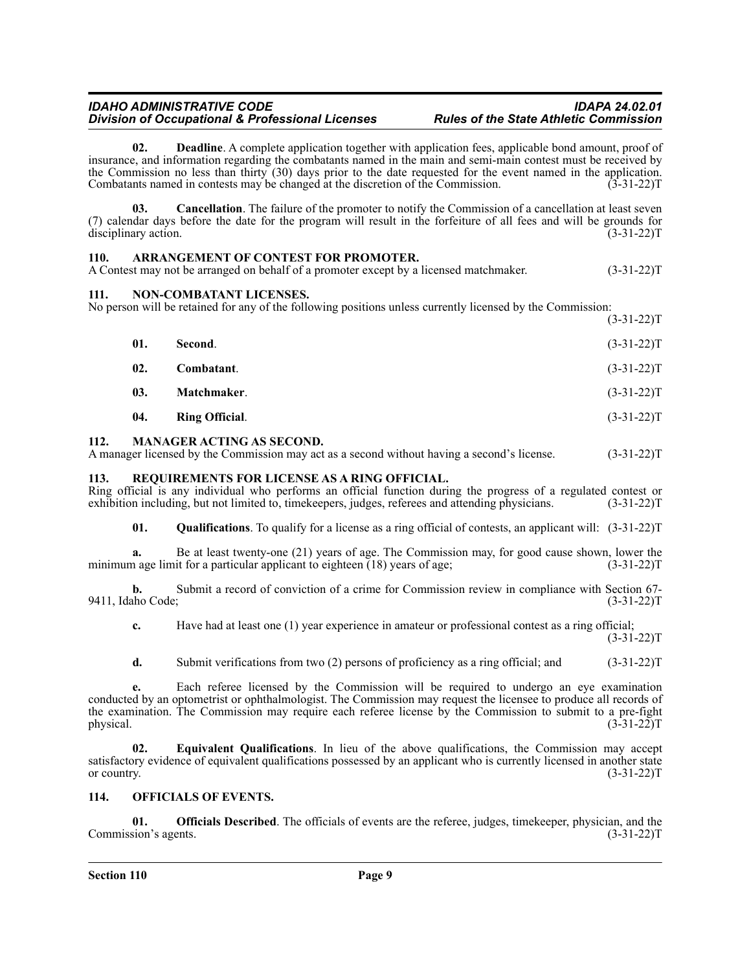**02. Deadline**. A complete application together with application fees, applicable bond amount, proof of insurance, and information regarding the combatants named in the main and semi-main contest must be received by the Commission no less than thirty (30) days prior to the date requested for the event named in the application.<br>Combatants named in contests may be changed at the discretion of the Commission. (3-31-22) Combatants named in contests may be changed at the discretion of the Commission.

**03. Cancellation**. The failure of the promoter to notify the Commission of a cancellation at least seven (7) calendar days before the date for the program will result in the forfeiture of all fees and will be grounds for disciplinary action.  $(3-31-22)$ disciplinary action.

# <span id="page-8-0"></span>**110. ARRANGEMENT OF CONTEST FOR PROMOTER.**

A Contest may not be arranged on behalf of a promoter except by a licensed matchmaker. (3-31-22)T

# <span id="page-8-1"></span>**111. NON-COMBATANT LICENSES.**

No person will be retained for any of the following positions unless currently licensed by the Commission:  $(3 - 31 - 22)$ T

|     |                       | $1 - 21 - 221$ |
|-----|-----------------------|----------------|
| 01. | Second.               | $(3-31-22)T$   |
| 02. | Combatant.            | $(3-31-22)T$   |
| 03. | Matchmaker.           | $(3-31-22)T$   |
| 04. | <b>Ring Official.</b> | $(3-31-22)T$   |
|     |                       |                |

#### <span id="page-8-2"></span>**112. MANAGER ACTING AS SECOND.**

A manager licensed by the Commission may act as a second without having a second's license. (3-31-22)T

# <span id="page-8-3"></span>**113. REQUIREMENTS FOR LICENSE AS A RING OFFICIAL.**

Ring official is any individual who performs an official function during the progress of a regulated contest or exhibition including, but not limited to, timekeepers, judges, referees and attending physicians. (3-31-22)T

**01. Qualifications**. To qualify for a license as a ring official of contests, an applicant will: (3-31-22)T

**a.** Be at least twenty-one (21) years of age. The Commission may, for good cause shown, lower the n age limit for a particular applicant to eighteen (18) years of age; (3-31-22) minimum age limit for a particular applicant to eighteen  $(18)$  years of age;

**b.** Submit a record of conviction of a crime for Commission review in compliance with Section 67-9411, Idaho Code; (3-31-22)T

**c.** Have had at least one (1) year experience in amateur or professional contest as a ring official;  $(3-31-22)T$ 

**d.** Submit verifications from two (2) persons of proficiency as a ring official; and (3-31-22)T

**e.** Each referee licensed by the Commission will be required to undergo an eye examination conducted by an optometrist or ophthalmologist. The Commission may request the licensee to produce all records of the examination. The Commission may require each referee license by the Commission to submit to a pre-fight physical.  $(3-31-22)T$ 

**02. Equivalent Qualifications**. In lieu of the above qualifications, the Commission may accept satisfactory evidence of equivalent qualifications possessed by an applicant who is currently licensed in another state or country.  $(3-31-22)T$ 

# <span id="page-8-4"></span>**114. OFFICIALS OF EVENTS.**

**01. Officials Described**. The officials of events are the referee, judges, timekeeper, physician, and the Commission's agents. (3-31-22)T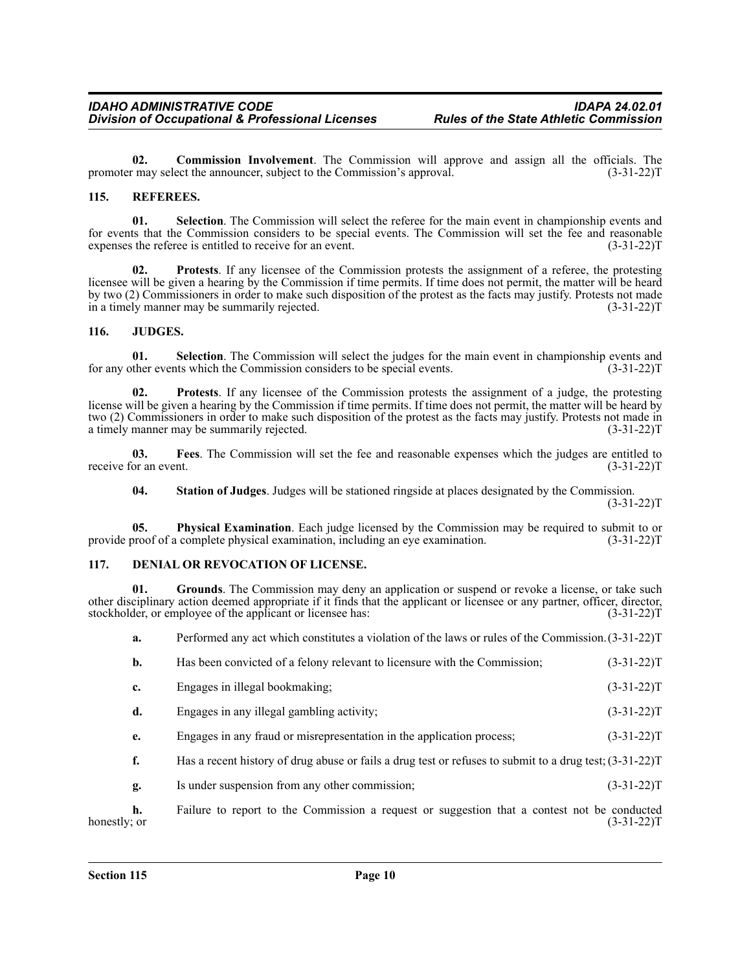**02. Commission Involvement**. The Commission will approve and assign all the officials. The promoter may select the announcer, subject to the Commission's approval. (3-31-22)T

# <span id="page-9-0"></span>**115. REFEREES.**

**01. Selection**. The Commission will select the referee for the main event in championship events and for events that the Commission considers to be special events. The Commission will set the fee and reasonable expenses the referee is entitled to receive for an event. (3-31-22)T

**02. Protests**. If any licensee of the Commission protests the assignment of a referee, the protesting licensee will be given a hearing by the Commission if time permits. If time does not permit, the matter will be heard by two (2) Commissioners in order to make such disposition of the protest as the facts may justify. Protests not made in a timely manner may be summarily rejected. (3-31-22)T

#### <span id="page-9-1"></span>**116. JUDGES.**

**01. Selection**. The Commission will select the judges for the main event in championship events and for any other events which the Commission considers to be special events. (3-31-22)T

**02. Protests**. If any licensee of the Commission protests the assignment of a judge, the protesting license will be given a hearing by the Commission if time permits. If time does not permit, the matter will be heard by two (2) Commissioners in order to make such disposition of the protest as the facts may justify. Protests not made in a timely manner may be summarily rejected. (3-31-22)T

**03. Fees**. The Commission will set the fee and reasonable expenses which the judges are entitled to receive for an event.  $(3-31-22)T$ 

**04. Station of Judges**. Judges will be stationed ringside at places designated by the Commission.

 $(3-31-22)T$ 

**05. Physical Examination**. Each judge licensed by the Commission may be required to submit to or provide proof of a complete physical examination, including an eye examination. (3-31-22)T

#### <span id="page-9-2"></span>**117. DENIAL OR REVOCATION OF LICENSE.**

**01. Grounds**. The Commission may deny an application or suspend or revoke a license, or take such other disciplinary action deemed appropriate if it finds that the applicant or licensee or any partner, officer, director, stockholder, or employee of the applicant or licensee has: (3-31-22)T

**a.** Performed any act which constitutes a violation of the laws or rules of the Commission.(3-31-22)T

|             | Has been convicted of a felony relevant to licensure with the Commission; | $(3-31-22)T$ |
|-------------|---------------------------------------------------------------------------|--------------|
| $c_{\cdot}$ | Engages in illegal bookmaking;                                            | $(3-31-22)T$ |

- **d.** Engages in any illegal gambling activity; (3-31-22)T
- **e.** Engages in any fraud or misrepresentation in the application process; (3-31-22)T
- **f.** Has a recent history of drug abuse or fails a drug test or refuses to submit to a drug test;  $(3-31-22)$ T
- **g.** Is under suspension from any other commission; (3-31-22)T

**h.** Failure to report to the Commission a request or suggestion that a contest not be conducted honestly; or (3-31-22) honestly; or  $(3-31-22)T$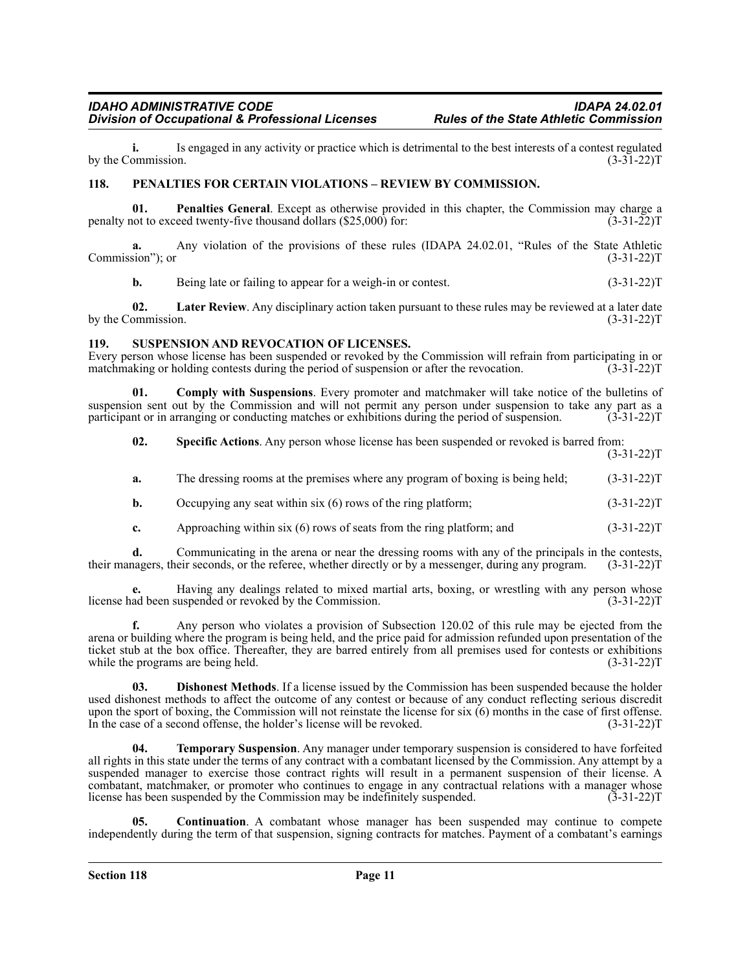**i.** Is engaged in any activity or practice which is detrimental to the best interests of a contest regulated ommission.  $(3-31-22)T$ by the Commission.

# <span id="page-10-0"></span>**118. PENALTIES FOR CERTAIN VIOLATIONS – REVIEW BY COMMISSION.**

**01.** Penalties General. Except as otherwise provided in this chapter, the Commission may charge a not to exceed twenty-five thousand dollars (\$25,000) for: (3-31-22) penalty not to exceed twenty-five thousand dollars  $(\$25,000)$  for:

**a.** Any violation of the provisions of these rules (IDAPA 24.02.01, "Rules of the State Athletic Commission"); or (3-31-22)T

**b.** Being late or failing to appear for a weigh-in or contest. (3-31-22)T

**02.** Later Review. Any disciplinary action taken pursuant to these rules may be reviewed at a later date by the Commission. (3-31-22)T

# <span id="page-10-1"></span>**119. SUSPENSION AND REVOCATION OF LICENSES.**

Every person whose license has been suspended or revoked by the Commission will refrain from participating in or matchmaking or holding contests during the period of suspension or after the revocation. (3-31-22) m

**01. Comply with Suspensions**. Every promoter and matchmaker will take notice of the bulletins of suspension sent out by the Commission and will not permit any person under suspension to take any part as a participant or in arranging or conducting matches or exhibitions during the period of suspension. (3-31-22)T participant or in arranging or conducting matches or exhibitions during the period of suspension.

**02. Specific Actions**. Any person whose license has been suspended or revoked is barred from:  $(3-31-22)T$ 

- **a.** The dressing rooms at the premises where any program of boxing is being held; (3-31-22)T
- **b.** Occupying any seat within six (6) rows of the ring platform; (3-31-22)T
- **c.** Approaching within six (6) rows of seats from the ring platform; and  $(3-31-22)$ T

**d.** Communicating in the arena or near the dressing rooms with any of the principals in the contests, nagers, their seconds, or the referee, whether directly or by a messenger, during any program. (3-31-22) their managers, their seconds, or the referee, whether directly or by a messenger, during any program.

**e.** Having any dealings related to mixed martial arts, boxing, or wrestling with any person whose license had been suspended or revoked by the Commission. (3-31-22)T

**f.** Any person who violates a provision of Subsection 120.02 of this rule may be ejected from the arena or building where the program is being held, and the price paid for admission refunded upon presentation of the ticket stub at the box office. Thereafter, they are barred entirely from all premises used for contests or exhibitions while the programs are being held. (3-31-22) T

**03. Dishonest Methods**. If a license issued by the Commission has been suspended because the holder used dishonest methods to affect the outcome of any contest or because of any conduct reflecting serious discredit upon the sport of boxing, the Commission will not reinstate the license for six (6) months in the case of first offense. In the case of a second offense, the holder's license will be revoked. (3-31-22)T

**04. Temporary Suspension**. Any manager under temporary suspension is considered to have forfeited all rights in this state under the terms of any contract with a combatant licensed by the Commission. Any attempt by a suspended manager to exercise those contract rights will result in a permanent suspension of their license. A combatant, matchmaker, or promoter who continues to engage in any contractual relations with a manager whose license has been suspended by the Commission may be indefinitely suspended. (3-31-22)T

**Continuation**. A combatant whose manager has been suspended may continue to compete independently during the term of that suspension, signing contracts for matches. Payment of a combatant's earnings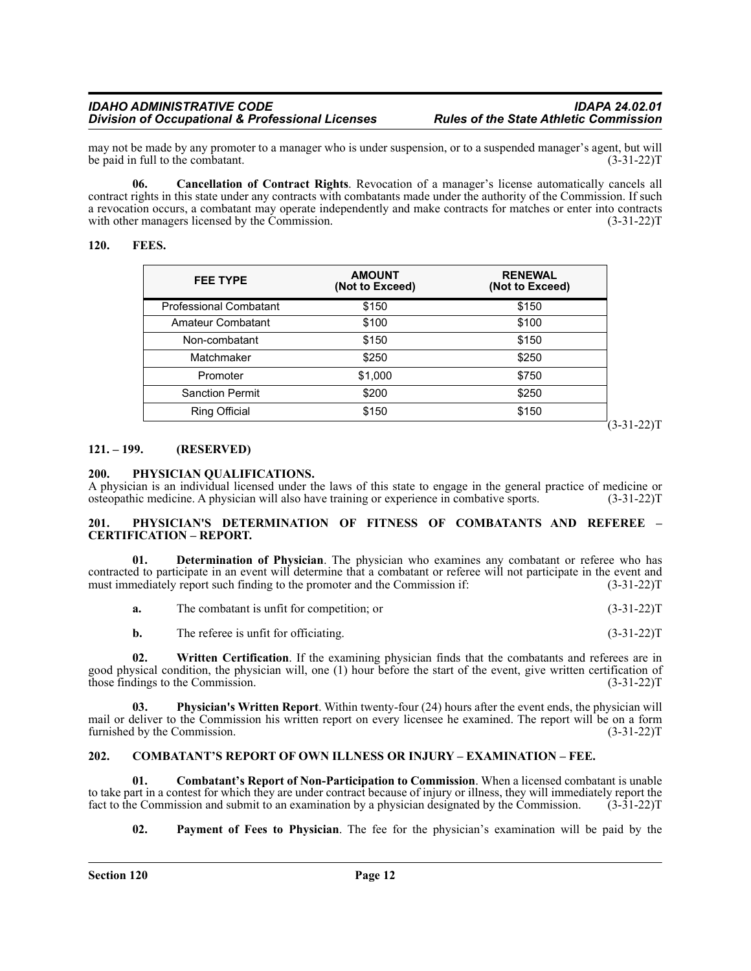may not be made by any promoter to a manager who is under suspension, or to a suspended manager's agent, but will<br>1-22)T (3-31-22)T be paid in full to the combatant.

**06. Cancellation of Contract Rights**. Revocation of a manager's license automatically cancels all contract rights in this state under any contracts with combatants made under the authority of the Commission. If such a revocation occurs, a combatant may operate independently and make contracts for matches or enter into contracts with other managers licensed by the Commission.

#### <span id="page-11-0"></span>**120. FEES.**

| <b>FEE TYPE</b>               | <b>AMOUNT</b><br>(Not to Exceed) | <b>RENEWAL</b><br>(Not to Exceed) |
|-------------------------------|----------------------------------|-----------------------------------|
| <b>Professional Combatant</b> | \$150                            | \$150                             |
| Amateur Combatant             | \$100                            | \$100                             |
| Non-combatant                 | \$150                            | \$150                             |
| Matchmaker                    | \$250                            | \$250                             |
| Promoter                      | \$1,000                          | \$750                             |
| <b>Sanction Permit</b>        | \$200                            | \$250                             |
| <b>Ring Official</b>          | \$150                            | \$150                             |

 $(3-31-22)T$ 

#### <span id="page-11-1"></span>**121. – 199. (RESERVED)**

#### <span id="page-11-2"></span>**200. PHYSICIAN QUALIFICATIONS.**

A physician is an individual licensed under the laws of this state to engage in the general practice of medicine or osteopathic medicine. A physician will also have training or experience in combative sports. (3-31-22)T

#### <span id="page-11-3"></span>**201. PHYSICIAN'S DETERMINATION OF FITNESS OF COMBATANTS AND REFEREE – CERTIFICATION – REPORT.**

**01. Determination of Physician**. The physician who examines any combatant or referee who has contracted to participate in an event will determine that a combatant or referee will not participate in the event and must immediately report such finding to the promoter and the Commission if: (3-31-22) must immediately report such finding to the promoter and the Commission if:

|  | The combatant is unfit for competition; or | $(3-31-22)T$ |
|--|--------------------------------------------|--------------|
|--|--------------------------------------------|--------------|

**b.** The referee is unfit for officiating. (3-31-22)T

**02. Written Certification**. If the examining physician finds that the combatants and referees are in good physical condition, the physician will, one (1) hour before the start of the event, give written certification of those findings to the Commission. (3-31-22)T

**03. Physician's Written Report**. Within twenty-four (24) hours after the event ends, the physician will mail or deliver to the Commission his written report on every licensee he examined. The report will be on a form furnished by the Commission. (3-31-22) furnished by the Commission.

#### <span id="page-11-4"></span>**202. COMBATANT'S REPORT OF OWN ILLNESS OR INJURY – EXAMINATION – FEE.**

**01. Combatant's Report of Non-Participation to Commission**. When a licensed combatant is unable to take part in a contest for which they are under contract because of injury or illness, they will immediately report the fact to the Commission and submit to an examination by a physician designated by the Commission. (3-31-22)T

**02. Payment of Fees to Physician**. The fee for the physician's examination will be paid by the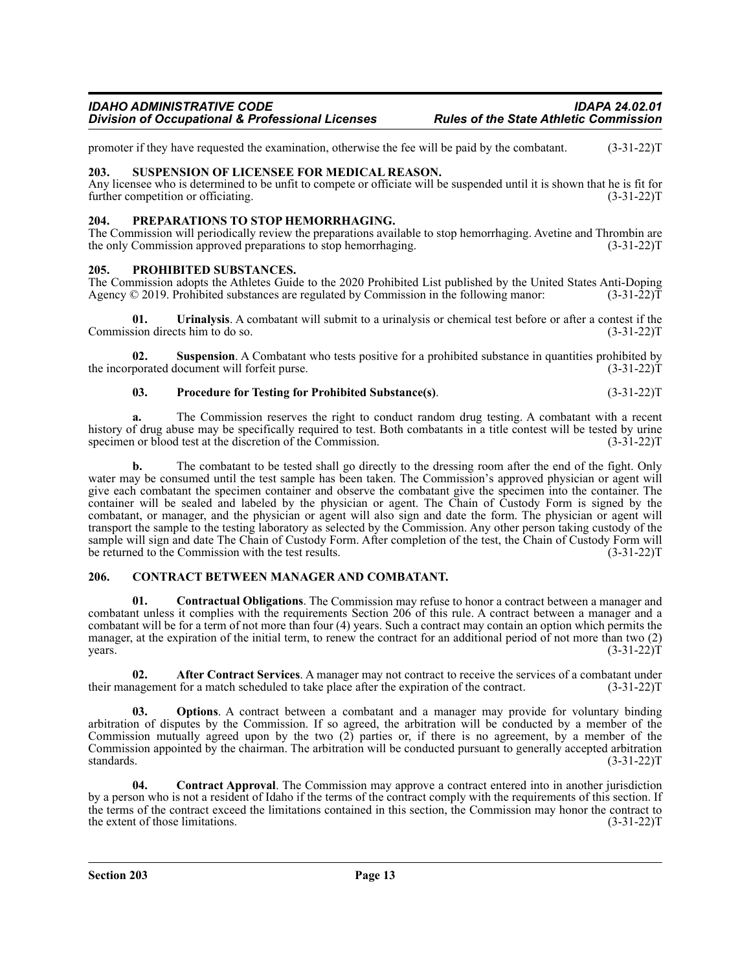promoter if they have requested the examination, otherwise the fee will be paid by the combatant. (3-31-22)T

# <span id="page-12-0"></span>**203. SUSPENSION OF LICENSEE FOR MEDICAL REASON.**

Any licensee who is determined to be unfit to compete or officiate will be suspended until it is shown that he is fit for further competition or officiating. (3-31-22)T

# <span id="page-12-1"></span>**204. PREPARATIONS TO STOP HEMORRHAGING.**

The Commission will periodically review the preparations available to stop hemorrhaging. Avetine and Thrombin are the only Commission approved preparations to stop hemorrhaging. (3-31-22) (3-31-22) T

# <span id="page-12-2"></span>**205. PROHIBITED SUBSTANCES.**

The Commission adopts the Athletes Guide to the 2020 Prohibited List published by the United States Anti-Doping Agency © 2019. Prohibited substances are regulated by Commission in the following manor: (3-31-22)T Agency  $\odot$  2019. Prohibited substances are regulated by Commission in the following manor:

**01.** Urinalysis. A combatant will submit to a urinalysis or chemical test before or after a contest if the sion directs him to do so. (3-31-22) Commission directs him to do so.

**02.** Suspension. A Combatant who tests positive for a prohibited substance in quantities prohibited by the incorporated document will forfeit purse. (3-31-22)T

# **03. Procedure for Testing for Prohibited Substance(s)**. (3-31-22)T

**a.** The Commission reserves the right to conduct random drug testing. A combatant with a recent history of drug abuse may be specifically required to test. Both combatants in a title contest will be tested by urine specimen or blood test at the discretion of the Commission. (3-31-22)T

**b.** The combatant to be tested shall go directly to the dressing room after the end of the fight. Only water may be consumed until the test sample has been taken. The Commission's approved physician or agent will give each combatant the specimen container and observe the combatant give the specimen into the container. The container will be sealed and labeled by the physician or agent. The Chain of Custody Form is signed by the combatant, or manager, and the physician or agent will also sign and date the form. The physician or agent will transport the sample to the testing laboratory as selected by the Commission. Any other person taking custody of the sample will sign and date The Chain of Custody Form. After completion of the test, the Chain of Custody Form will<br>be returned to the Commission with the test results. (3-31-22) be returned to the Commission with the test results.

# <span id="page-12-3"></span>**206. CONTRACT BETWEEN MANAGER AND COMBATANT.**

**01. Contractual Obligations**. The Commission may refuse to honor a contract between a manager and combatant unless it complies with the requirements Section 206 of this rule. A contract between a manager and a combatant will be for a term of not more than four (4) years. Such a contract may contain an option which permits the manager, at the expiration of the initial term, to renew the contract for an additional period of not more than two (2)  $years.$  (3-31-22)T

**02. After Contract Services**. A manager may not contract to receive the services of a combatant under hagement for a match scheduled to take place after the expiration of the contract. (3-31-22) their management for a match scheduled to take place after the expiration of the contract.

**Options**. A contract between a combatant and a manager may provide for voluntary binding arbitration of disputes by the Commission. If so agreed, the arbitration will be conducted by a member of the Commission mutually agreed upon by the two (2) parties or, if there is no agreement, by a member of the Commission appointed by the chairman. The arbitration will be conducted pursuant to generally accepted arbitration standards. (3-31-22)T

**04. Contract Approval**. The Commission may approve a contract entered into in another jurisdiction by a person who is not a resident of Idaho if the terms of the contract comply with the requirements of this section. If the terms of the contract exceed the limitations contained in this section, the Commission may honor the contract to the extent of those limitations. (3-31-22) the extent of those limitations.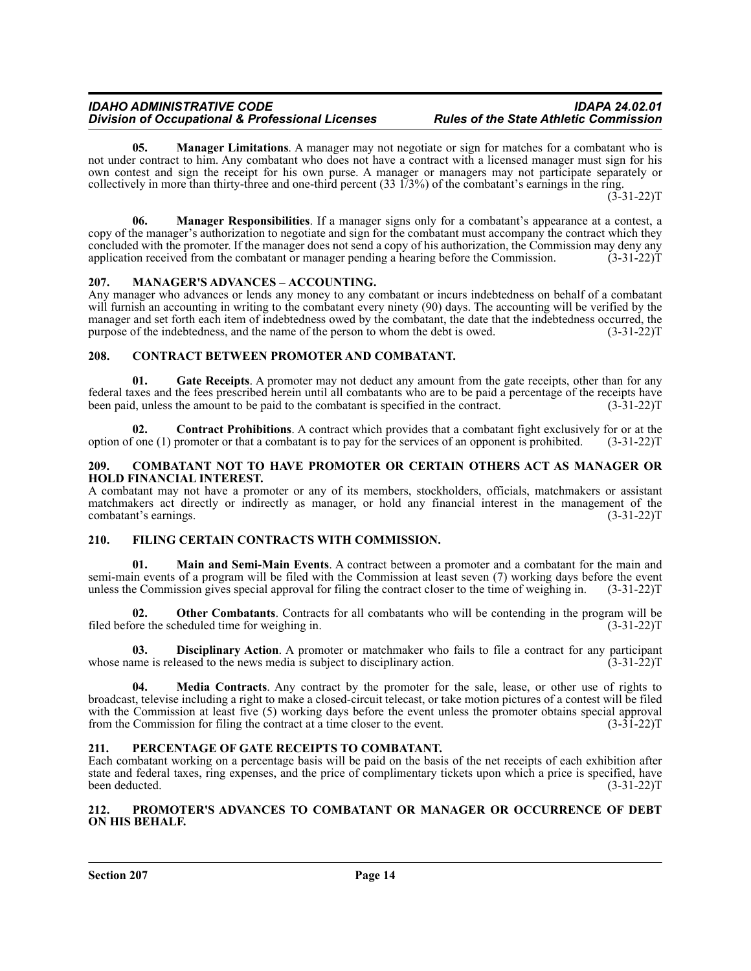**05.** Manager Limitations. A manager may not negotiate or sign for matches for a combatant who is not under contract to him. Any combatant who does not have a contract with a licensed manager must sign for his own contest and sign the receipt for his own purse. A manager or managers may not participate separately or collectively in more than thirty-three and one-third percent (33 1/3%) of the combatant's earnings in the ring.

 $(3-31-22)T$ 

**06. Manager Responsibilities**. If a manager signs only for a combatant's appearance at a contest, a copy of the manager's authorization to negotiate and sign for the combatant must accompany the contract which they concluded with the promoter. If the manager does not send a copy of his authorization, the Commission may deny any application received from the combatant or manager pending a hearing before the Commission. (3-31-22)T

# <span id="page-13-0"></span>**207. MANAGER'S ADVANCES – ACCOUNTING.**

Any manager who advances or lends any money to any combatant or incurs indebtedness on behalf of a combatant will furnish an accounting in writing to the combatant every ninety (90) days. The accounting will be verified by the manager and set forth each item of indebtedness owed by the combatant, the date that the indebtedness occurred, the purpose of the indebtedness, and the name of the person to whom the debt is owed. (3-31-22)T

# <span id="page-13-1"></span>**208. CONTRACT BETWEEN PROMOTER AND COMBATANT.**

**01.** Gate Receipts. A promoter may not deduct any amount from the gate receipts, other than for any federal taxes and the fees prescribed herein until all combatants who are to be paid a percentage of the receipts have been paid, unless the amount to be paid to the combatant is specified in the contract.

**02. Contract Prohibitions**. A contract which provides that a combatant fight exclusively for or at the option of one (1) promoter or that a combatant is to pay for the services of an opponent is prohibited. (3-31-22)T

#### <span id="page-13-2"></span>**209. COMBATANT NOT TO HAVE PROMOTER OR CERTAIN OTHERS ACT AS MANAGER OR HOLD FINANCIAL INTEREST.**

A combatant may not have a promoter or any of its members, stockholders, officials, matchmakers or assistant matchmakers act directly or indirectly as manager, or hold any financial interest in the management of the combatant's earnings. (3-31-22) combatant's earnings.

# <span id="page-13-3"></span>**210. FILING CERTAIN CONTRACTS WITH COMMISSION.**

**01. Main and Semi-Main Events**. A contract between a promoter and a combatant for the main and semi-main events of a program will be filed with the Commission at least seven (7) working days before the event unless the Commission gives special approval for filing the contract closer to the time of weighing in. (3-31-22)T

**02. Other Combatants**. Contracts for all combatants who will be contending in the program will be ore the scheduled time for weighing in. (3-31-22) filed before the scheduled time for weighing in.

**03. Disciplinary Action**. A promoter or matchmaker who fails to file a contract for any participant ame is released to the news media is subject to disciplinary action. (3-31-22) whose name is released to the news media is subject to disciplinary action.

**04. Media Contracts**. Any contract by the promoter for the sale, lease, or other use of rights to broadcast, televise including a right to make a closed-circuit telecast, or take motion pictures of a contest will be filed with the Commission at least five (5) working days before the event unless the promoter obtains special approval from the Commission for filing the contract at a time closer to the event. (3-31-22)T

# <span id="page-13-4"></span>**211. PERCENTAGE OF GATE RECEIPTS TO COMBATANT.**

Each combatant working on a percentage basis will be paid on the basis of the net receipts of each exhibition after state and federal taxes, ring expenses, and the price of complimentary tickets upon which a price is specified, have been deducted. (3-31-22)T

# <span id="page-13-5"></span>**212. PROMOTER'S ADVANCES TO COMBATANT OR MANAGER OR OCCURRENCE OF DEBT ON HIS BEHALF.**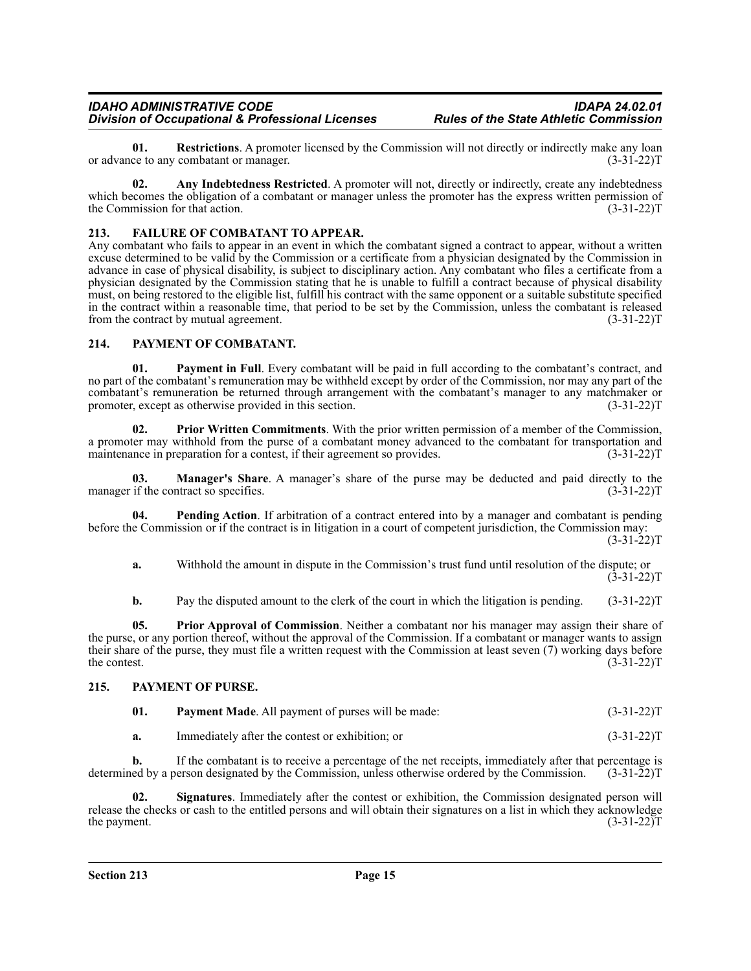**01. Restrictions**. A promoter licensed by the Commission will not directly or indirectly make any loan ce to any combatant or manager. (3-31-22) or advance to any combatant or manager.

**02.** Any Indebtedness Restricted. A promoter will not, directly or indirectly, create any indebtedness which becomes the obligation of a combatant or manager unless the promoter has the express written permission of the Commission for that action. (3-31-22)T

# <span id="page-14-0"></span>**213. FAILURE OF COMBATANT TO APPEAR.**

Any combatant who fails to appear in an event in which the combatant signed a contract to appear, without a written excuse determined to be valid by the Commission or a certificate from a physician designated by the Commission in advance in case of physical disability, is subject to disciplinary action. Any combatant who files a certificate from a physician designated by the Commission stating that he is unable to fulfill a contract because of physical disability must, on being restored to the eligible list, fulfill his contract with the same opponent or a suitable substitute specified in the contract within a reasonable time, that period to be set by the Commission, unless the combatant is released from the contract by mutual agreement. (3-31-22)T

# <span id="page-14-1"></span>**214. PAYMENT OF COMBATANT.**

**01. Payment in Full**. Every combatant will be paid in full according to the combatant's contract, and no part of the combatant's remuneration may be withheld except by order of the Commission, nor may any part of the combatant's remuneration be returned through arrangement with the combatant's manager to any matchmaker or promoter, except as otherwise provided in this section. (3-31-22) promoter, except as otherwise provided in this section.

**02. Prior Written Commitments**. With the prior written permission of a member of the Commission, a promoter may withhold from the purse of a combatant money advanced to the combatant for transportation and maintenance in preparation for a contest, if their agreement so provides. (3-31-22) maintenance in preparation for a contest, if their agreement so provides.

**03. Manager's Share**. A manager's share of the purse may be deducted and paid directly to the if the contract so specifies. (3-31-22) manager if the contract so specifies.

**04. Pending Action**. If arbitration of a contract entered into by a manager and combatant is pending before the Commission or if the contract is in litigation in a court of competent jurisdiction, the Commission may:  $(3-31-22)T$ 

**a.** Withhold the amount in dispute in the Commission's trust fund until resolution of the dispute; or  $(3-31-22)T$ 

**b.** Pay the disputed amount to the clerk of the court in which the litigation is pending. (3-31-22)T

**05. Prior Approval of Commission**. Neither a combatant nor his manager may assign their share of the purse, or any portion thereof, without the approval of the Commission. If a combatant or manager wants to assign their share of the purse, they must file a written request with the Commission at least seven (7) working days before the contest.  $(3-31-22)T$ 

# <span id="page-14-2"></span>**215. PAYMENT OF PURSE.**

| 01. | <b>Payment Made.</b> All payment of purses will be made: | $(3-31-22)T$ |
|-----|----------------------------------------------------------|--------------|
|-----|----------------------------------------------------------|--------------|

**a.** Immediately after the contest or exhibition; or (3-31-22)T

**b.** If the combatant is to receive a percentage of the net receipts, immediately after that percentage is determined by a person designated by the Commission, unless otherwise ordered by the Commission. (3-31-22)T

**02. Signatures**. Immediately after the contest or exhibition, the Commission designated person will release the checks or cash to the entitled persons and will obtain their signatures on a list in which they acknowledge<br>(3-31-22)T the payment.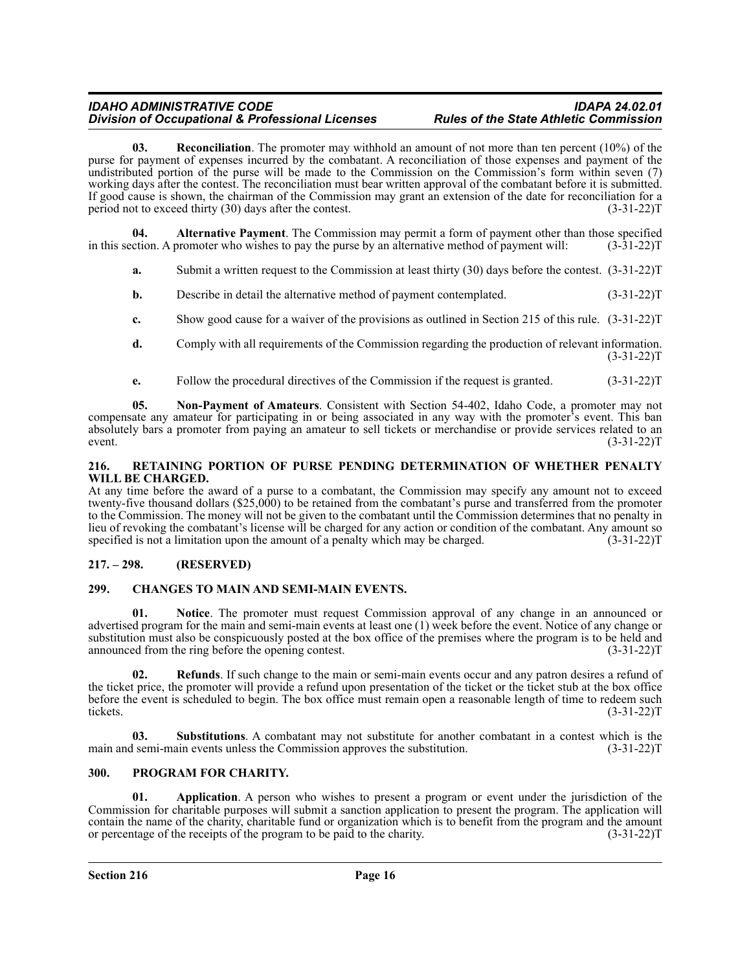**03. Reconciliation**. The promoter may withhold an amount of not more than ten percent (10%) of the purse for payment of expenses incurred by the combatant. A reconciliation of those expenses and payment of the undistributed portion of the purse will be made to the Commission on the Commission's form within seven (7) working days after the contest. The reconciliation must bear written approval of the combatant before it is submitted. If good cause is shown, the chairman of the Commission may grant an extension of the date for reconciliation for a period not to exceed thirty (30) days after the contest. (3-31-22)T

**04. Alternative Payment**. The Commission may permit a form of payment other than those specified in this section. A promoter who wishes to pay the purse by an alternative method of payment will: (3-31-22)T

**a.** Submit a written request to the Commission at least thirty (30) days before the contest. (3-31-22)T

- **b.** Describe in detail the alternative method of payment contemplated. (3-31-22)T
- **c.** Show good cause for a waiver of the provisions as outlined in Section 215 of this rule.  $(3-31-22)$ T
- **d.** Comply with all requirements of the Commission regarding the production of relevant information.  $(3-31-22)T$
- **e.** Follow the procedural directives of the Commission if the request is granted. (3-31-22)T

**05. Non-Payment of Amateurs**. Consistent with Section 54-402, Idaho Code, a promoter may not compensate any amateur for participating in or being associated in any way with the promoter's event. This ban absolutely bars a promoter from paying an amateur to sell tickets or merchandise or provide services related to an event.  $(3-31-22)T$ 

#### <span id="page-15-0"></span>**216. RETAINING PORTION OF PURSE PENDING DETERMINATION OF WHETHER PENALTY WILL BE CHARGED.**

At any time before the award of a purse to a combatant, the Commission may specify any amount not to exceed twenty-five thousand dollars (\$25,000) to be retained from the combatant's purse and transferred from the promoter to the Commission. The money will not be given to the combatant until the Commission determines that no penalty in lieu of revoking the combatant's license will be charged for any action or condition of the combatant. Any amount so specified is not a limitation upon the amount of a penalty which may be charged. (3-31-22) S

# <span id="page-15-1"></span>**217. – 298. (RESERVED)**

# <span id="page-15-2"></span>**299. CHANGES TO MAIN AND SEMI-MAIN EVENTS.**

Notice. The promoter must request Commission approval of any change in an announced or advertised program for the main and semi-main events at least one (1) week before the event. Notice of any change or substitution must also be conspicuously posted at the box office of the premises where the program is to be held and announced from the ring before the opening contest. (3-31-22)T

**02. Refunds**. If such change to the main or semi-main events occur and any patron desires a refund of the ticket price, the promoter will provide a refund upon presentation of the ticket or the ticket stub at the box office before the event is scheduled to begin. The box office must remain open a reasonable length of time to redeem such tickets. (3-31-22)T

**03.** Substitutions. A combatant may not substitute for another combatant in a contest which is the 1 semi-main events unless the Commission approves the substitution. (3-31-22) main and semi-main events unless the Commission approves the substitution.

# <span id="page-15-3"></span>**300. PROGRAM FOR CHARITY.**

**01. Application**. A person who wishes to present a program or event under the jurisdiction of the Commission for charitable purposes will submit a sanction application to present the program. The application will contain the name of the charity, charitable fund or organization which is to benefit from the program and the amount or percentage of the receipts of the program to be paid to the charity. (3-31-22)T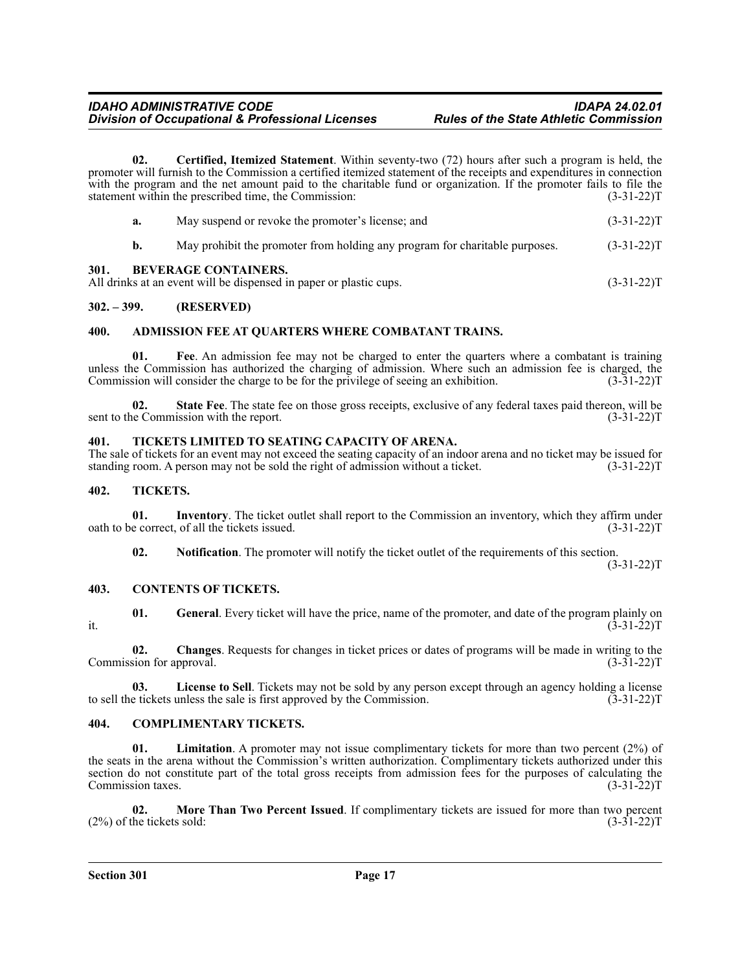**02. Certified, Itemized Statement**. Within seventy-two (72) hours after such a program is held, the promoter will furnish to the Commission a certified itemized statement of the receipts and expenditures in connection with the program and the net amount paid to the charitable fund or organization. If the promoter fails to file the statement within the prescribed time, the Commission: (3-31-22)T

|      | а. | May suspend or revoke the promoter's license; and                                                                                                                                                                                                                                                                                        | $(3-31-22)T$ |
|------|----|------------------------------------------------------------------------------------------------------------------------------------------------------------------------------------------------------------------------------------------------------------------------------------------------------------------------------------------|--------------|
|      |    | May prohibit the promoter from holding any program for charitable purposes.                                                                                                                                                                                                                                                              | $(3-31-22)T$ |
| 301. |    | <b>BEVERAGE CONTAINERS.</b><br>$\frac{1}{2}$ , $\frac{1}{2}$ , $\frac{1}{2}$ , $\frac{1}{2}$ , $\frac{1}{2}$ , $\frac{1}{2}$ , $\frac{1}{2}$ , $\frac{1}{2}$ , $\frac{1}{2}$ , $\frac{1}{2}$ , $\frac{1}{2}$ , $\frac{1}{2}$ , $\frac{1}{2}$ , $\frac{1}{2}$ , $\frac{1}{2}$ , $\frac{1}{2}$ , $\frac{1}{2}$ , $\frac{1}{2}$ , $\frac{1$ | (2.21)       |

<span id="page-16-0"></span>All drinks at an event will be dispensed in paper or plastic cups. (3-31-22) (3-31-22) T

# <span id="page-16-1"></span>**302. – 399. (RESERVED)**

#### <span id="page-16-2"></span>**400. ADMISSION FEE AT QUARTERS WHERE COMBATANT TRAINS.**

Fee. An admission fee may not be charged to enter the quarters where a combatant is training unless the Commission has authorized the charging of admission. Where such an admission fee is charged, the Commission will consider the charge to be for the privilege of seeing an exhibition. (3-31-22) Commission will consider the charge to be for the privilege of seeing an exhibition.

**02.** State Fee. The state fee on those gross receipts, exclusive of any federal taxes paid thereon, will be incommission with the report. (3-31-22) sent to the Commission with the report.

#### <span id="page-16-3"></span>**401. TICKETS LIMITED TO SEATING CAPACITY OF ARENA.**

The sale of tickets for an event may not exceed the seating capacity of an indoor arena and no ticket may be issued for standing room. A person may not be sold the right of admission without a ticket. (3-31-22)T

#### <span id="page-16-4"></span>**402. TICKETS.**

**01.** Inventory. The ticket outlet shall report to the Commission an inventory, which they affirm under e correct, of all the tickets issued. (3-31-22) oath to be correct, of all the tickets issued.

**02.** Notification. The promoter will notify the ticket outlet of the requirements of this section.

 $(3-31-22)T$ 

#### <span id="page-16-5"></span>**403. CONTENTS OF TICKETS.**

**01.** General. Every ticket will have the price, name of the promoter, and date of the program plainly on (3-31-22) it.  $(3-31-22)T$ 

**02. Changes**. Requests for changes in ticket prices or dates of programs will be made in writing to the Commission for approval. (3-31-22)T

**03.** License to Sell. Tickets may not be sold by any person except through an agency holding a license e tickets unless the sale is first approved by the Commission. (3-31-22) to sell the tickets unless the sale is first approved by the Commission.

#### <span id="page-16-6"></span>**404. COMPLIMENTARY TICKETS.**

Limitation. A promoter may not issue complimentary tickets for more than two percent (2%) of the seats in the arena without the Commission's written authorization. Complimentary tickets authorized under this section do not constitute part of the total gross receipts from admission fees for the purposes of calculating the Commission taxes. (3-31-22)T

**02.** More Than Two Percent Issued. If complimentary tickets are issued for more than two percent he tickets sold: (3-31-22)  $(2%)$  of the tickets sold: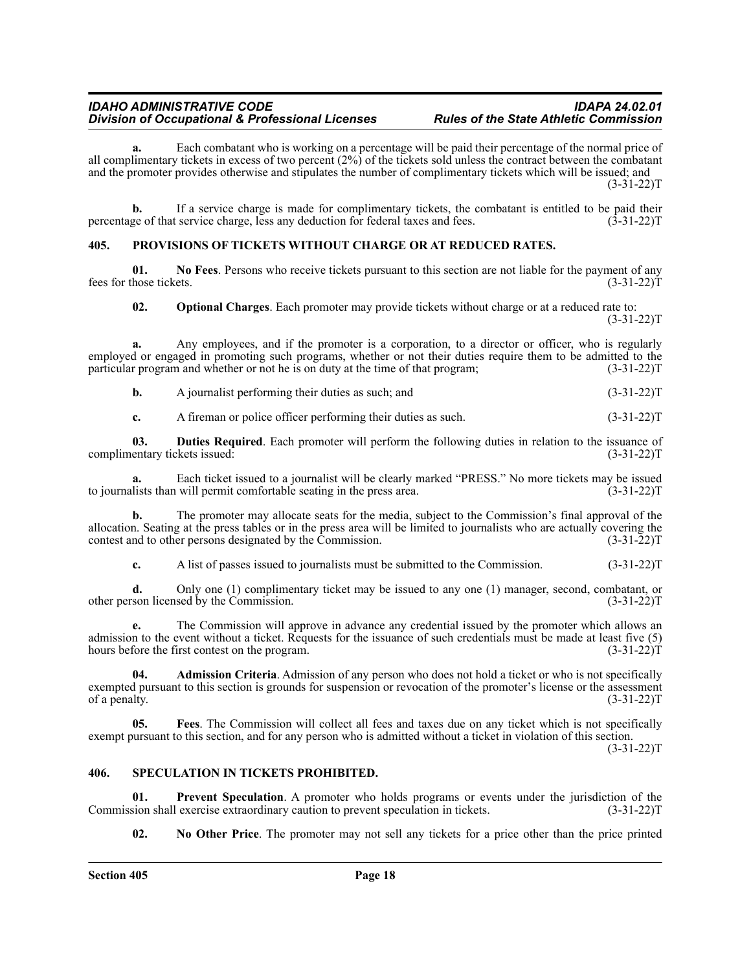**a.** Each combatant who is working on a percentage will be paid their percentage of the normal price of all complimentary tickets in excess of two percent  $(2\%)$  of the tickets sold unless the contract between the combatant and the promoter provides otherwise and stipulates the number of complimentary tickets which will be issued; and (3-31-22)T

**b.** If a service charge is made for complimentary tickets, the combatant is entitled to be paid their ge of that service charge, less any deduction for federal taxes and fees. (3-31-22) percentage of that service charge, less any deduction for federal taxes and fees.

#### <span id="page-17-0"></span>**405. PROVISIONS OF TICKETS WITHOUT CHARGE OR AT REDUCED RATES.**

**01.** No Fees. Persons who receive tickets pursuant to this section are not liable for the payment of any hose tickets. (3-31-22) fees for those tickets.

**02. Optional Charges**. Each promoter may provide tickets without charge or at a reduced rate to:  $(3-31-22)T$ 

**a.** Any employees, and if the promoter is a corporation, to a director or officer, who is regularly employed or engaged in promoting such programs, whether or not their duties require them to be admitted to the particular program and whether or not he is on duty at the time of that program; (3-31-22)T

**b.** A journalist performing their duties as such; and  $(3-31-22)$ T

**c.** A fireman or police officer performing their duties as such. (3-31-22) (3-31-22)

**03. Duties Required**. Each promoter will perform the following duties in relation to the issuance of entary tickets issued: (3-31-22) complimentary tickets issued:

**a.** Each ticket issued to a journalist will be clearly marked "PRESS." No more tickets may be issued lists than will permit comfortable seating in the press area. (3-31-22) to journalists than will permit comfortable seating in the press area.

**b.** The promoter may allocate seats for the media, subject to the Commission's final approval of the allocation. Seating at the press tables or in the press area will be limited to journalists who are actually covering the contest and to other persons designated by the Commission. (3-31-22)T

**c.** A list of passes issued to journalists must be submitted to the Commission. (3-31-22)

**d.** Only one (1) complimentary ticket may be issued to any one (1) manager, second, combatant, or other person licensed by the Commission. (3-31-22)T

**e.** The Commission will approve in advance any credential issued by the promoter which allows an admission to the event without a ticket. Requests for the issuance of such credentials must be made at least five (5) hours before the first contest on the program. (3-31-22)T

**04. Admission Criteria**. Admission of any person who does not hold a ticket or who is not specifically exempted pursuant to this section is grounds for suspension or revocation of the promoter's license or the assessment of a penalty. (3-31-22) of a penalty.

**05. Fees**. The Commission will collect all fees and taxes due on any ticket which is not specifically exempt pursuant to this section, and for any person who is admitted without a ticket in violation of this section.  $(3-31-22)T$ 

#### <span id="page-17-1"></span>**406. SPECULATION IN TICKETS PROHIBITED.**

**01.** Prevent Speculation. A promoter who holds programs or events under the jurisdiction of the sion shall exercise extraordinary caution to prevent speculation in tickets. (3-31-22) Commission shall exercise extraordinary caution to prevent speculation in tickets.

**02. No Other Price**. The promoter may not sell any tickets for a price other than the price printed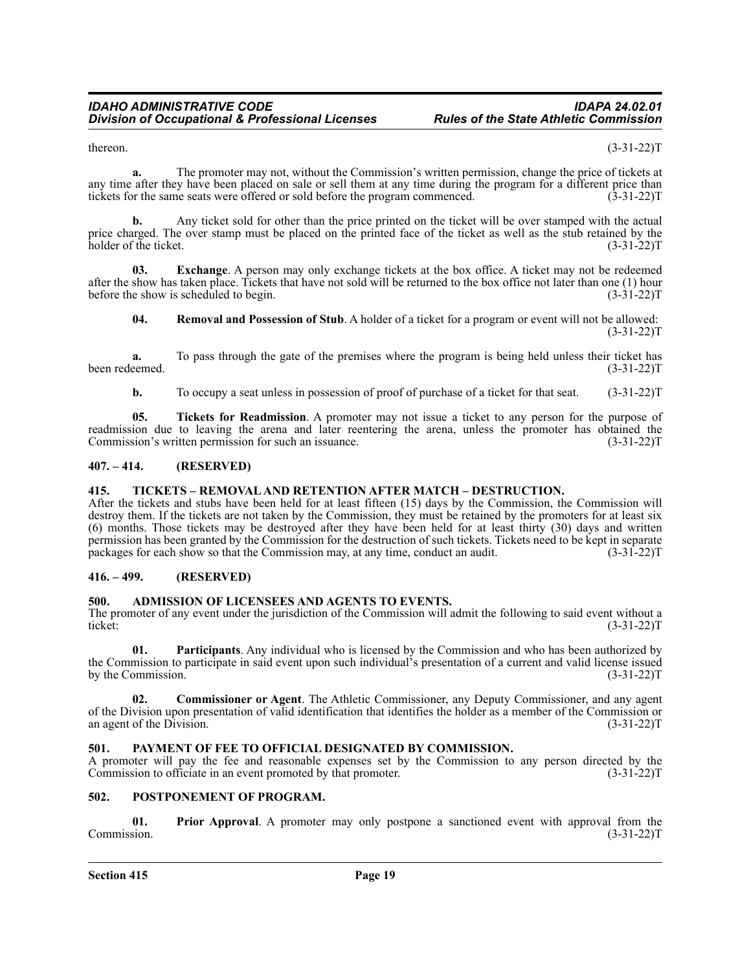thereon.  $(3-31-22)T$ 

**a.** The promoter may not, without the Commission's written permission, change the price of tickets at any time after they have been placed on sale or sell them at any time during the program for a different price than tickets for the same seats were offered or sold before the program commenced. (3-31-22) tickets for the same seats were offered or sold before the program commenced.

**b.** Any ticket sold for other than the price printed on the ticket will be over stamped with the actual price charged. The over stamp must be placed on the printed face of the ticket as well as the stub retained by the holder of the ticket. (3-31-22)T

**03.** Exchange. A person may only exchange tickets at the box office. A ticket may not be redeemed after the show has taken place. Tickets that have not sold will be returned to the box office not later than one (1) hour before the show is scheduled to begin.  $(3-31-22)$ T before the show is scheduled to begin.

**04. Removal and Possession of Stub**. A holder of a ticket for a program or event will not be allowed:  $(3-31-22)T$ 

**a.** To pass through the gate of the premises where the program is being held unless their ticket has been redeemed. (3-31-22)T

**b.** To occupy a seat unless in possession of proof of purchase of a ticket for that seat. (3-31-22)T

**05. Tickets for Readmission**. A promoter may not issue a ticket to any person for the purpose of readmission due to leaving the arena and later reentering the arena, unless the promoter has obtained the Commission's written permission for such an issuance. (3-31-22) T

# <span id="page-18-0"></span>**407. – 414. (RESERVED)**

#### <span id="page-18-1"></span>**415. TICKETS – REMOVAL AND RETENTION AFTER MATCH – DESTRUCTION.**

After the tickets and stubs have been held for at least fifteen (15) days by the Commission, the Commission will destroy them. If the tickets are not taken by the Commission, they must be retained by the promoters for at least six (6) months. Those tickets may be destroyed after they have been held for at least thirty (30) days and written permission has been granted by the Commission for the destruction of such tickets. Tickets need to be kept in separate packages for each show so that the Commission may, at any time, conduct an audit. (3-31-22)T

# <span id="page-18-2"></span>**416. – 499. (RESERVED)**

#### <span id="page-18-3"></span>**500. ADMISSION OF LICENSEES AND AGENTS TO EVENTS.**

The promoter of any event under the jurisdiction of the Commission will admit the following to said event without a ticket:<br>(3-31-22)T ticket: (3-31-22)T

**01. Participants**. Any individual who is licensed by the Commission and who has been authorized by the Commission to participate in said event upon such individual's presentation of a current and valid license issued<br>by the Commission. (3-31-22)T by the Commission.

**02. Commissioner or Agent**. The Athletic Commissioner, any Deputy Commissioner, and any agent of the Division upon presentation of valid identification that identifies the holder as a member of the Commission or an agent of the Division. (3-31-22) T

# <span id="page-18-4"></span>**501. PAYMENT OF FEE TO OFFICIAL DESIGNATED BY COMMISSION.**

A promoter will pay the fee and reasonable expenses set by the Commission to any person directed by the Commission to officiate in an event promoted by that promoter. (3-31-22)T

#### <span id="page-18-5"></span>**502. POSTPONEMENT OF PROGRAM.**

**01. Prior Approval**. A promoter may only postpone a sanctioned event with approval from the Commission. (3-31-22)T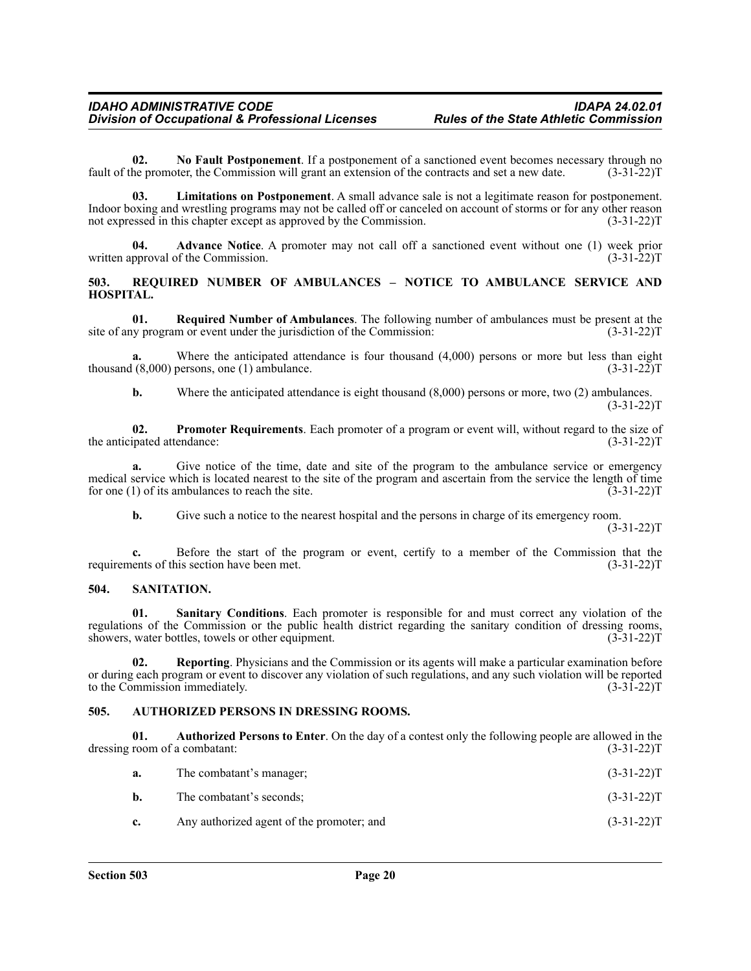**02. No Fault Postponement**. If a postponement of a sanctioned event becomes necessary through no fault of the promoter, the Commission will grant an extension of the contracts and set a new date. (3-31-22)T

**03. Limitations on Postponement**. A small advance sale is not a legitimate reason for postponement. Indoor boxing and wrestling programs may not be called off or canceled on account of storms or for any other reason not expressed in this chapter except as approved by the Commission. (3-31-22) not expressed in this chapter except as approved by the Commission.

**04. Advance Notice**. A promoter may not call off a sanctioned event without one (1) week prior written approval of the Commission. (3-31-22)T

## <span id="page-19-0"></span>**503. REQUIRED NUMBER OF AMBULANCES – NOTICE TO AMBULANCE SERVICE AND HOSPITAL.**

**01.** Required Number of Ambulances. The following number of ambulances must be present at the inversion: (3-31-22)  $T$ site of any program or event under the jurisdiction of the Commission:

Where the anticipated attendance is four thousand  $(4,000)$  persons or more but less than eight thousand  $(8,000)$  persons, one (1) ambulance. (3-31-22)T

**b.** Where the anticipated attendance is eight thousand (8,000) persons or more, two (2) ambulances.  $(3-31-22)T$ 

**02.** Promoter Requirements. Each promoter of a program or event will, without regard to the size of ipated attendance: (3-31-22) the anticipated attendance:

**a.** Give notice of the time, date and site of the program to the ambulance service or emergency medical service which is located nearest to the site of the program and ascertain from the service the length of time<br>for one (1) of its ambulances to reach the site. (3-31-22) for one  $(1)$  of its ambulances to reach the site.

**b.** Give such a notice to the nearest hospital and the persons in charge of its emergency room.  $(3-31-22)T$ 

**c.** Before the start of the program or event, certify to a member of the Commission that the lents of this section have been met. (3-31-22) requirements of this section have been met.

#### <span id="page-19-1"></span>**504. SANITATION.**

**01. Sanitary Conditions**. Each promoter is responsible for and must correct any violation of the regulations of the Commission or the public health district regarding the sanitary condition of dressing rooms, showers, water bottles, towels or other equipment. (3-31-22)T

**02. Reporting**. Physicians and the Commission or its agents will make a particular examination before or during each program or event to discover any violation of such regulations, and any such violation will be reported to the Commission immediately. (3-31-22) to the Commission immediately.

#### <span id="page-19-2"></span>**505. AUTHORIZED PERSONS IN DRESSING ROOMS.**

**01.** Authorized Persons to Enter. On the day of a contest only the following people are allowed in the room of a combatant: (3-31-22)T dressing room of a combatant:

| а.             | The combatant's manager;                  | $(3-31-22)T$ |
|----------------|-------------------------------------------|--------------|
| b.             | The combatant's seconds;                  | $(3-31-22)T$ |
| $\mathbf{c}$ . | Any authorized agent of the promoter; and | $(3-31-22)T$ |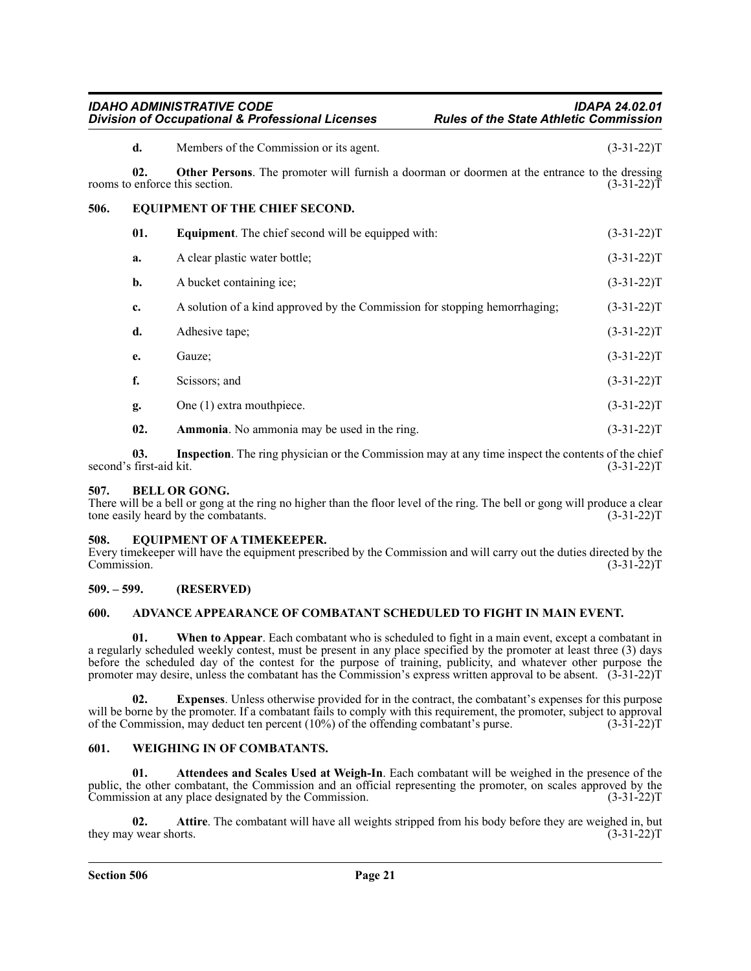<span id="page-20-0"></span>

|      | d.           | Members of the Commission or its agent.                                                                                                                                 | $(3-31-22)T$ |
|------|--------------|-------------------------------------------------------------------------------------------------------------------------------------------------------------------------|--------------|
|      | 02.          | Other Persons. The promoter will furnish a doorman or doormen at the entrance to the dressing<br>rooms to enforce this section.                                         | $(3-31-22)T$ |
| 506. |              | EQUIPMENT OF THE CHIEF SECOND.                                                                                                                                          |              |
|      | 01.          | <b>Equipment.</b> The chief second will be equipped with:                                                                                                               | $(3-31-22)T$ |
|      | a.           | A clear plastic water bottle;                                                                                                                                           | $(3-31-22)T$ |
|      | b.           | A bucket containing ice;                                                                                                                                                | $(3-31-22)T$ |
|      | c.           | A solution of a kind approved by the Commission for stopping hemorrhaging;                                                                                              | $(3-31-22)T$ |
|      | d.           | Adhesive tape;                                                                                                                                                          | $(3-31-22)T$ |
|      | e.           | Gauze;                                                                                                                                                                  | $(3-31-22)T$ |
|      | f.           | Scissors; and                                                                                                                                                           | $(3-31-22)T$ |
|      | g.           | One (1) extra mouthpiece.                                                                                                                                               | $(3-31-22)T$ |
|      | 02.          | Ammonia. No ammonia may be used in the ring.                                                                                                                            | $(3-31-22)T$ |
|      | $\mathbf{A}$ | $\mathbf{r}$ at $\mathbf{r}$ the set of $\mathbf{r}$<br>the contract of the contract of the contract of the contract of the contract of the contract of the contract of |              |

**03. Inspection**. The ring physician or the Commission may at any time inspect the contents of the chief second's first-aid kit. (3-31-22)T

# <span id="page-20-1"></span>**507. BELL OR GONG.**

There will be a bell or gong at the ring no higher than the floor level of the ring. The bell or gong will produce a clear tone easily heard by the combatants. (3-31-22) tone easily heard by the combatants.

#### <span id="page-20-2"></span>**508. EQUIPMENT OF A TIMEKEEPER.**

Every timekeeper will have the equipment prescribed by the Commission and will carry out the duties directed by the Commission.

# <span id="page-20-3"></span>**509. – 599. (RESERVED)**

# <span id="page-20-4"></span>**600. ADVANCE APPEARANCE OF COMBATANT SCHEDULED TO FIGHT IN MAIN EVENT.**

**01. When to Appear**. Each combatant who is scheduled to fight in a main event, except a combatant in a regularly scheduled weekly contest, must be present in any place specified by the promoter at least three (3) days before the scheduled day of the contest for the purpose of training, publicity, and whatever other purpose the promoter may desire, unless the combatant has the Commission's express written approval to be absent. (3-31-22)T

**02. Expenses**. Unless otherwise provided for in the contract, the combatant's expenses for this purpose will be borne by the promoter. If a combatant fails to comply with this requirement, the promoter, subject to approval of the Commission, may deduct ten percent (10%) of the offending combatant's purse. (3-31-22)T

# <span id="page-20-5"></span>**601. WEIGHING IN OF COMBATANTS.**

**01. Attendees and Scales Used at Weigh-In**. Each combatant will be weighed in the presence of the public, the other combatant, the Commission and an official representing the promoter, on scales approved by the Commission at any place designated by the Commission. (3-31-22)T

**02. Attire**. The combatant will have all weights stripped from his body before they are weighed in, but they may wear shorts. (3-31-22)T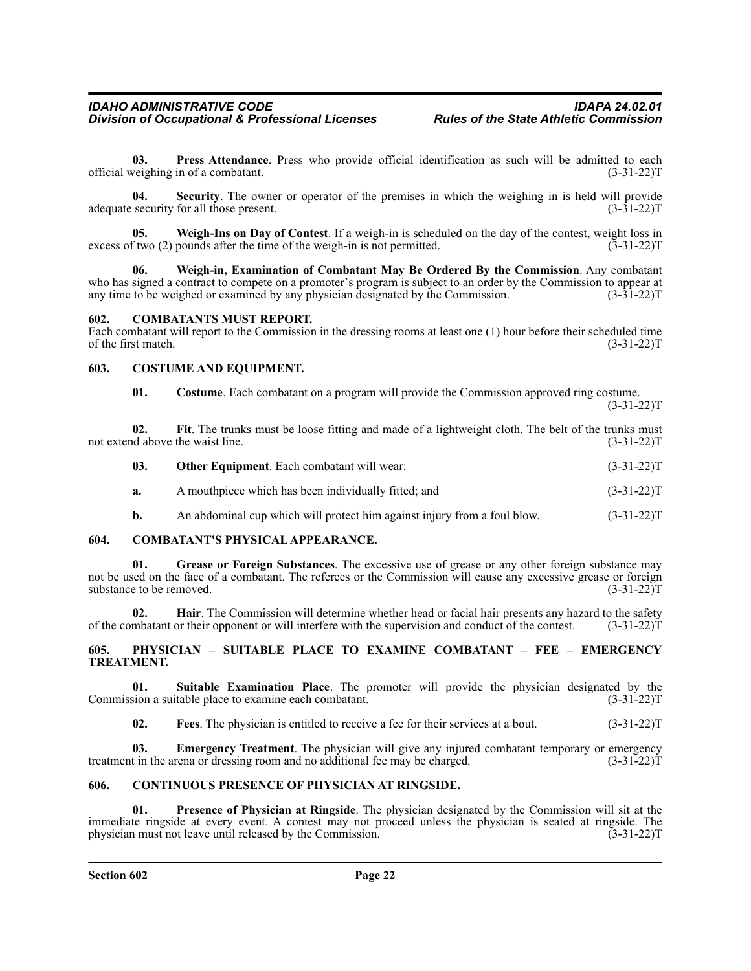**03. Press Attendance**. Press who provide official identification as such will be admitted to each official weighing in of a combatant. (3-31-22)T

**04. Security**. The owner or operator of the premises in which the weighing in is held will provide adequate security for all those present. (3-31-22)T

**05. Weigh-Ins on Day of Contest**. If a weigh-in is scheduled on the day of the contest, weight loss in excess of two (2) pounds after the time of the weigh-in is not permitted. (3-31-22)T

**06. Weigh-in, Examination of Combatant May Be Ordered By the Commission**. Any combatant who has signed a contract to compete on a promoter's program is subject to an order by the Commission to appear at any time to be weighed or examined by any physician designated by the Commission. (3-31-22) any time to be weighed or examined by any physician designated by the Commission.

#### <span id="page-21-0"></span>**602. COMBATANTS MUST REPORT.**

Each combatant will report to the Commission in the dressing rooms at least one (1) hour before their scheduled time of the first match.

#### <span id="page-21-1"></span>**603. COSTUME AND EQUIPMENT.**

| 01. | Costume. Each combatant on a program will provide the Commission approved ring costume. |  |              |
|-----|-----------------------------------------------------------------------------------------|--|--------------|
|     |                                                                                         |  | $(3-31-22)T$ |

|                                  |  |  |  |  |  |  |  |  | Fit. The trunks must be loose fitting and made of a lightweight cloth. The belt of the trunks must |              |
|----------------------------------|--|--|--|--|--|--|--|--|----------------------------------------------------------------------------------------------------|--------------|
| not extend above the waist line. |  |  |  |  |  |  |  |  |                                                                                                    | $(3-31-22)T$ |

| -03. | <b>Other Equipment.</b> Each combatant will wear:    | $(3-31-22)T$ |
|------|------------------------------------------------------|--------------|
|      | A mouthpiece which has been individually fitted; and | $(3-31-22)T$ |

**b.** An abdominal cup which will protect him against injury from a foul blow. (3-31-22) T

# <span id="page-21-2"></span>**604. COMBATANT'S PHYSICAL APPEARANCE.**

**01. Grease or Foreign Substances**. The excessive use of grease or any other foreign substance may not be used on the face of a combatant. The referees or the Commission will cause any excessive grease or foreign<br>substance to be removed. (3-31-22) substance to be removed.

**02. Hair**. The Commission will determine whether head or facial hair presents any hazard to the safety mbatant or their opponent or will interfere with the supervision and conduct of the contest. (3-31-22) of the combatant or their opponent or will interfere with the supervision and conduct of the contest.

#### <span id="page-21-3"></span>**605. PHYSICIAN – SUITABLE PLACE TO EXAMINE COMBATANT – FEE – EMERGENCY TREATMENT.**

**01.** Suitable Examination Place. The promoter will provide the physician designated by the sion a suitable place to examine each combatant. (3-31-22) Commission a suitable place to examine each combatant.

**02. Fees**. The physician is entitled to receive a fee for their services at a bout. (3-31-22)T

**Emergency Treatment**. The physician will give any injured combatant temporary or emergency rena or dressing room and no additional fee may be charged. (3-31-22)T treatment in the arena or dressing room and no additional fee may be charged.

# <span id="page-21-4"></span>**606. CONTINUOUS PRESENCE OF PHYSICIAN AT RINGSIDE.**

**01. Presence of Physician at Ringside**. The physician designated by the Commission will sit at the immediate ringside at every event. A contest may not proceed unless the physician is seated at ringside. The physician must not leave until released by the Commission. (3-31-22)T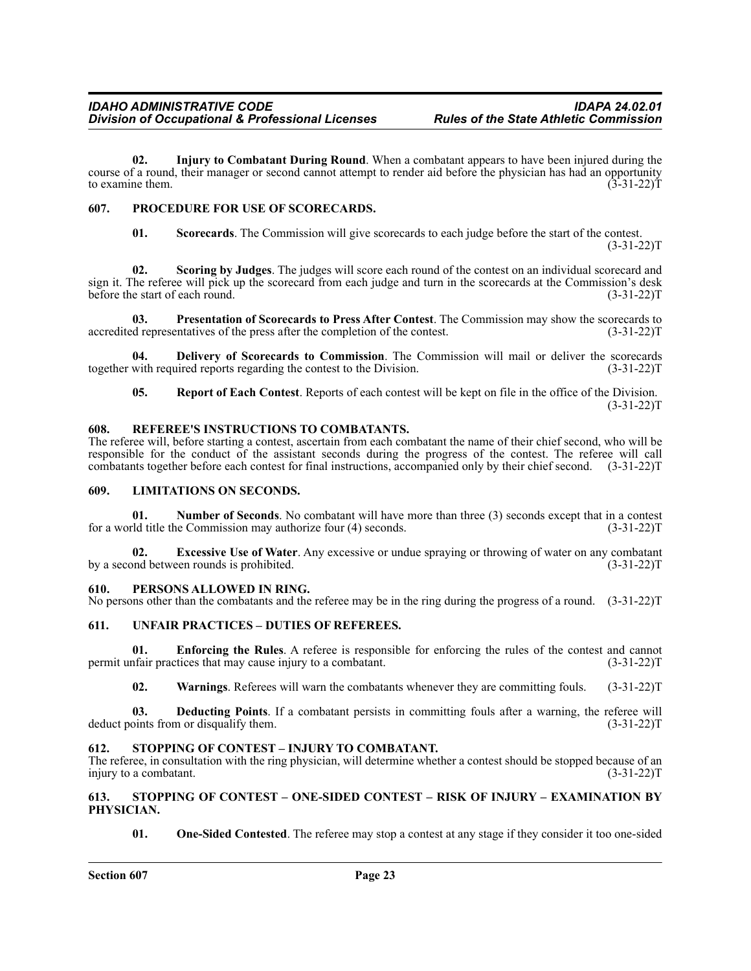**02. Injury to Combatant During Round**. When a combatant appears to have been injured during the course of a round, their manager or second cannot attempt to render aid before the physician has had an opportunity<br>to examine them. (3-31-22) to examine them.

# <span id="page-22-0"></span>**607. PROCEDURE FOR USE OF SCORECARDS.**

**01. Scorecards**. The Commission will give scorecards to each judge before the start of the contest.  $(3-31-22)T$ 

**02. Scoring by Judges**. The judges will score each round of the contest on an individual scorecard and sign it. The referee will pick up the scorecard from each judge and turn in the scorecards at the Commission's desk<br>6-31-22)T before the start of each round.

**03.** Presentation of Scorecards to Press After Contest. The Commission may show the scorecards to d representatives of the press after the completion of the contest. (3-31-22) accredited representatives of the press after the completion of the contest.

**04. Delivery of Scorecards to Commission**. The Commission will mail or deliver the scorecards together with required reports regarding the contest to the Division. (3-31-22) (3-31-22)

**05. Report of Each Contest**. Reports of each contest will be kept on file in the office of the Division.  $(3-31-22)T$ 

# <span id="page-22-1"></span>**608. REFEREE'S INSTRUCTIONS TO COMBATANTS.**

The referee will, before starting a contest, ascertain from each combatant the name of their chief second, who will be responsible for the conduct of the assistant seconds during the progress of the contest. The referee will call combatants together before each contest for final instructions, accompanied only by their chief second. (3-31-22)T

### <span id="page-22-2"></span>**609. LIMITATIONS ON SECONDS.**

**01.** Number of Seconds. No combatant will have more than three (3) seconds except that in a contest definite the Commission may authorize four (4) seconds. (3-31-22) for a world title the Commission may authorize four  $(4)$  seconds.

**02. Excessive Use of Water**. Any excessive or undue spraying or throwing of water on any combatant ond between rounds is prohibited. (3-31-22) by a second between rounds is prohibited.

# <span id="page-22-3"></span>**610. PERSONS ALLOWED IN RING.**

No persons other than the combatants and the referee may be in the ring during the progress of a round. (3-31-22)T

# <span id="page-22-4"></span>**611. UNFAIR PRACTICES – DUTIES OF REFEREES.**

**01. Enforcing the Rules**. A referee is responsible for enforcing the rules of the contest and cannot permit unfair practices that may cause injury to a combatant. (3-31-22) permit unfair practices that may cause injury to a combatant.

**02. Warnings**. Referees will warn the combatants whenever they are committing fouls. (3-31-22)T

**03. Deducting Points**. If a combatant persists in committing fouls after a warning, the referee will deduct points from or disqualify them. (3-31-22)T

# <span id="page-22-5"></span>**612. STOPPING OF CONTEST – INJURY TO COMBATANT.**

The referee, in consultation with the ring physician, will determine whether a contest should be stopped because of an injury to a combatant. (3-31-22)T

# <span id="page-22-6"></span>**613. STOPPING OF CONTEST – ONE-SIDED CONTEST – RISK OF INJURY – EXAMINATION BY PHYSICIAN.**

**01. One-Sided Contested**. The referee may stop a contest at any stage if they consider it too one-sided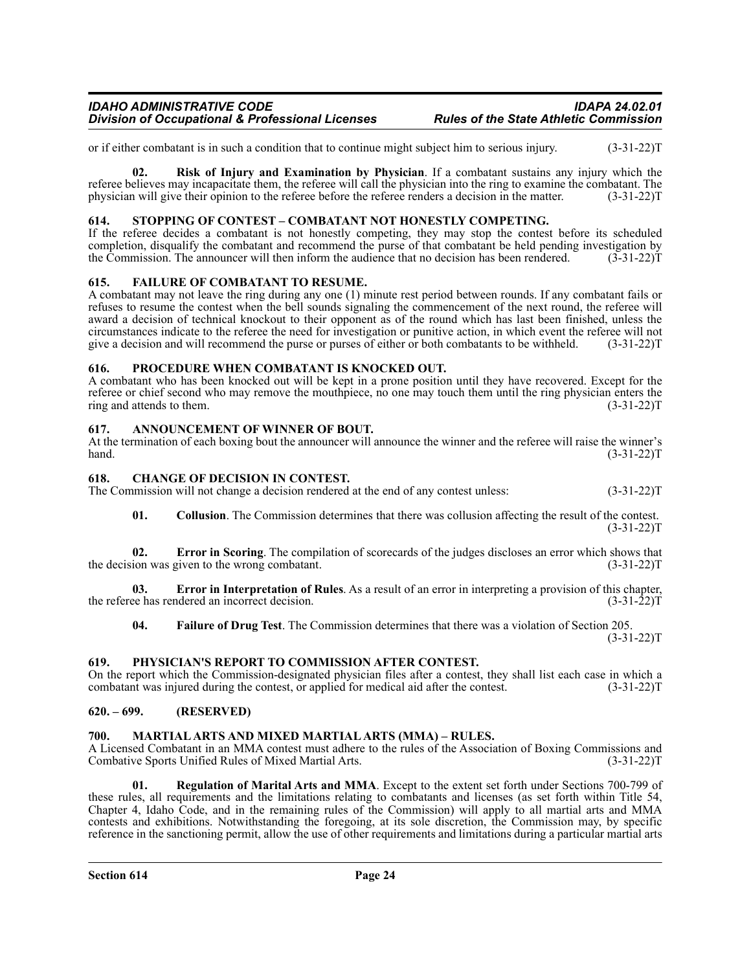or if either combatant is in such a condition that to continue might subject him to serious injury. (3-31-22)T

**02. Risk of Injury and Examination by Physician**. If a combatant sustains any injury which the referee believes may incapacitate them, the referee will call the physician into the ring to examine the combatant. The physician will give their opinion to the referee before the referee renders a decision in the matter. (3-31-22)T

# <span id="page-23-0"></span>**614. STOPPING OF CONTEST – COMBATANT NOT HONESTLY COMPETING.**

If the referee decides a combatant is not honestly competing, they may stop the contest before its scheduled completion, disqualify the combatant and recommend the purse of that combatant be held pending investigation by the Commission. The announcer will then inform the audience that no decision has been rendered. (3-31-22)T

#### <span id="page-23-1"></span>**615. FAILURE OF COMBATANT TO RESUME.**

A combatant may not leave the ring during any one (1) minute rest period between rounds. If any combatant fails or refuses to resume the contest when the bell sounds signaling the commencement of the next round, the referee will award a decision of technical knockout to their opponent as of the round which has last been finished, unless the circumstances indicate to the referee the need for investigation or punitive action, in which event the referee will not give a decision and will recommend the purse or purses of either or both combatants to be withheld.

#### <span id="page-23-2"></span>**616. PROCEDURE WHEN COMBATANT IS KNOCKED OUT.**

A combatant who has been knocked out will be kept in a prone position until they have recovered. Except for the referee or chief second who may remove the mouthpiece, no one may touch them until the ring physician enters the ring and attends to them. (3-31-22) ring and attends to them.

#### <span id="page-23-3"></span>**617. ANNOUNCEMENT OF WINNER OF BOUT.**

At the termination of each boxing bout the announcer will announce the winner and the referee will raise the winner's hand. (3-31-22)  $h$ and.  $(3-31-22)$ T

### <span id="page-23-4"></span>**618. CHANGE OF DECISION IN CONTEST.**

The Commission will not change a decision rendered at the end of any contest unless: (3-31-22)T

**01. Collusion**. The Commission determines that there was collusion affecting the result of the contest.  $(3-31-22)T$ 

**02. Error in Scoring**. The compilation of scorecards of the judges discloses an error which shows that ion was given to the wrong combatant. (3-31-22) the decision was given to the wrong combatant.

**03. Error in Interpretation of Rules**. As a result of an error in interpreting a provision of this chapter, ee has rendered an incorrect decision. (3-31-22) the referee has rendered an incorrect decision.

**04. Failure of Drug Test**. The Commission determines that there was a violation of Section 205.  $(3-31-22)T$ 

# <span id="page-23-5"></span>**619. PHYSICIAN'S REPORT TO COMMISSION AFTER CONTEST.**

On the report which the Commission-designated physician files after a contest, they shall list each case in which a combatant was injured during the contest, or applied for medical aid after the contest. (3-31-22) combatant was injured during the contest, or applied for medical aid after the contest.

# <span id="page-23-6"></span>**620. – 699. (RESERVED)**

# <span id="page-23-7"></span>**700. MARTIAL ARTS AND MIXED MARTIAL ARTS (MMA) – RULES.**

A Licensed Combatant in an MMA contest must adhere to the rules of the Association of Boxing Commissions and Combative Sports Unified Rules of Mixed Martial Arts. (3-31-22)T

**01. Regulation of Marital Arts and MMA**. Except to the extent set forth under Sections 700-799 of these rules, all requirements and the limitations relating to combatants and licenses (as set forth within Title 54, Chapter 4, Idaho Code, and in the remaining rules of the Commission) will apply to all martial arts and MMA contests and exhibitions. Notwithstanding the foregoing, at its sole discretion, the Commission may, by specific reference in the sanctioning permit, allow the use of other requirements and limitations during a particular martial arts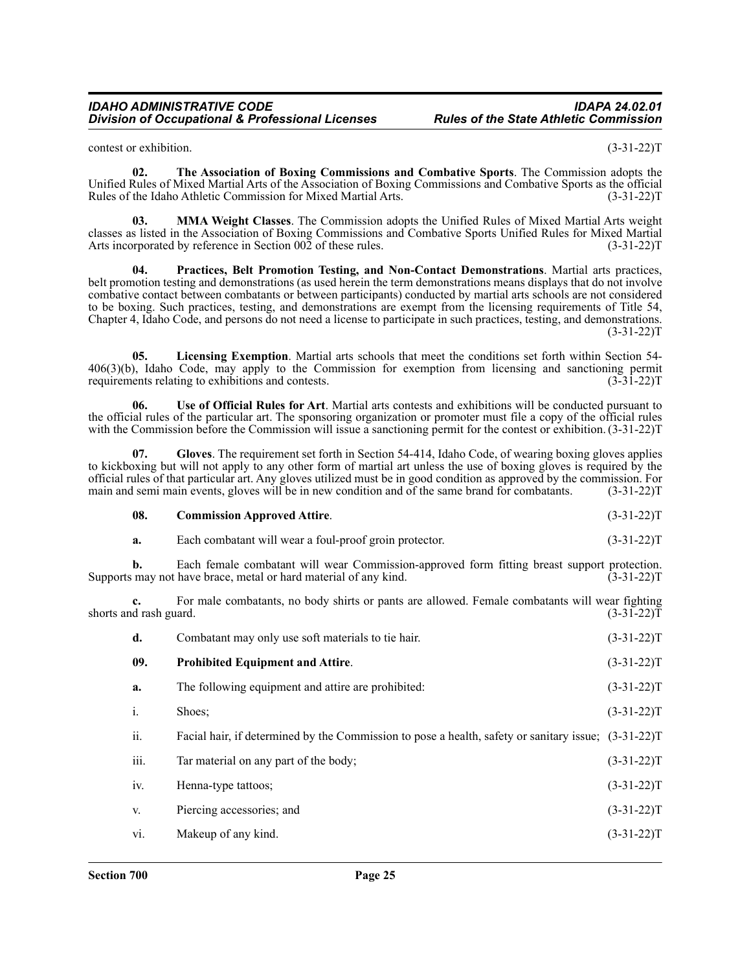contest or exhibition. (3-31-22)T

**02. The Association of Boxing Commissions and Combative Sports**. The Commission adopts the Unified Rules of Mixed Martial Arts of the Association of Boxing Commissions and Combative Sports as the official Rules of the Idaho Athletic Commission for Mixed Martial Arts. (3-31-22) T

**03. MMA Weight Classes**. The Commission adopts the Unified Rules of Mixed Martial Arts weight classes as listed in the Association of Boxing Commissions and Combative Sports Unified Rules for Mixed Martial Arts incorporated by reference in Section 002 of these rules. (3-31-22) T

**04. Practices, Belt Promotion Testing, and Non-Contact Demonstrations**. Martial arts practices, belt promotion testing and demonstrations (as used herein the term demonstrations means displays that do not involve combative contact between combatants or between participants) conducted by martial arts schools are not considered to be boxing. Such practices, testing, and demonstrations are exempt from the licensing requirements of Title 54, Chapter 4, Idaho Code, and persons do not need a license to participate in such practices, testing, and demonstrations.  $(3-31-22)T$ 

**05. Licensing Exemption**. Martial arts schools that meet the conditions set forth within Section 54-  $406(3)(b)$ , Idaho Code, may apply to the Commission for exemption from licensing and sanctioning permit requirements relating to exhibitions and contests. requirements relating to exhibitions and contests.

**06. Use of Official Rules for Art**. Martial arts contests and exhibitions will be conducted pursuant to the official rules of the particular art. The sponsoring organization or promoter must file a copy of the official rules with the Commission before the Commission will issue a sanctioning permit for the contest or exhibition. (3-31-22)T

**07. Gloves**. The requirement set forth in Section 54-414, Idaho Code, of wearing boxing gloves applies to kickboxing but will not apply to any other form of martial art unless the use of boxing gloves is required by the official rules of that particular art. Any gloves utilized must be in good condition as approved by the commission. For main and semi main events, gloves will be in new condition and of the same brand for combatants. (3-31-22)T

| 08. | <b>Commission Approved Attire.</b> | $(3-31-22)T$ |
|-----|------------------------------------|--------------|
|     |                                    |              |

| а. | Each combatant will wear a foul-proof groin protector. | $(3-31-22)T$ |
|----|--------------------------------------------------------|--------------|
|----|--------------------------------------------------------|--------------|

**b.** Each female combatant will wear Commission-approved form fitting breast support protection. Supports may not have brace, metal or hard material of any kind. (3-31-22) Supports may not have brace, metal or hard material of any kind.

**c.** For male combatants, no body shirts or pants are allowed. Female combatants will wear fighting shorts and rash guard. (3-31-22)T

| d.   | Combatant may only use soft materials to tie hair.                                                  | $(3-31-22)T$ |
|------|-----------------------------------------------------------------------------------------------------|--------------|
| 09.  | <b>Prohibited Equipment and Attire.</b>                                                             | $(3-31-22)T$ |
| a.   | The following equipment and attire are prohibited:                                                  | $(3-31-22)T$ |
| i.   | Shoes;                                                                                              | $(3-31-22)T$ |
| ii.  | Facial hair, if determined by the Commission to pose a health, safety or sanitary issue; (3-31-22)T |              |
| iii. | Tar material on any part of the body;                                                               | $(3-31-22)T$ |
| iv.  | Henna-type tattoos;                                                                                 | $(3-31-22)T$ |
| V.   | Piercing accessories; and                                                                           | $(3-31-22)T$ |
| vi.  | Makeup of any kind.                                                                                 | $(3-31-22)T$ |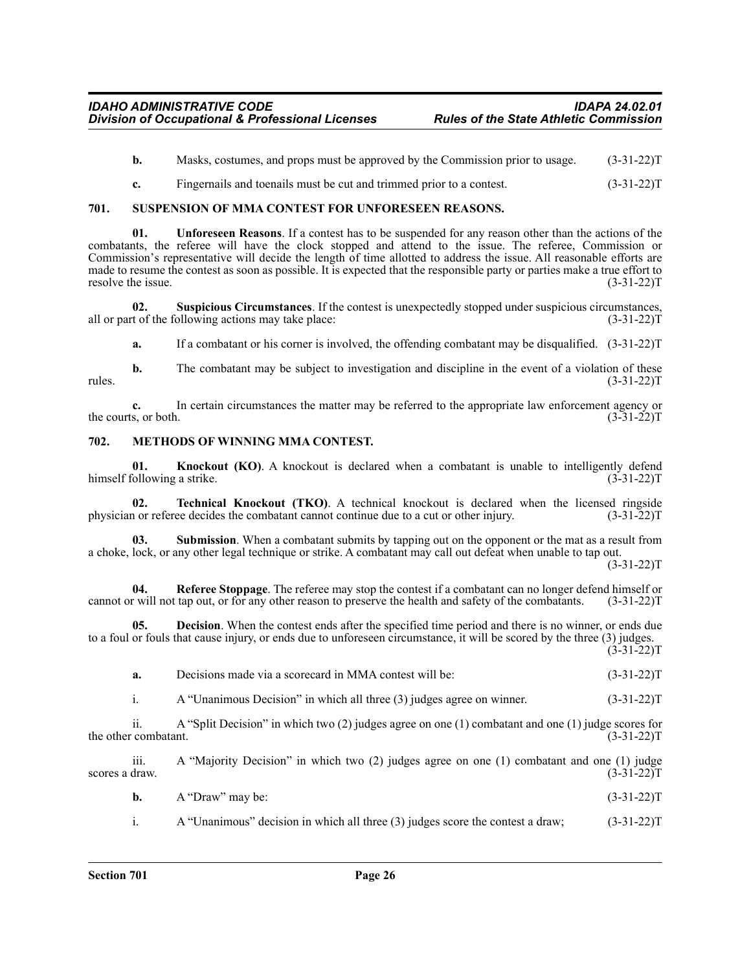- **b.** Masks, costumes, and props must be approved by the Commission prior to usage.  $(3-31-22)T$
- **c.** Fingernails and toenails must be cut and trimmed prior to a contest. (3-31-22)

#### <span id="page-25-0"></span>**701. SUSPENSION OF MMA CONTEST FOR UNFORESEEN REASONS.**

**01. Unforeseen Reasons**. If a contest has to be suspended for any reason other than the actions of the combatants, the referee will have the clock stopped and attend to the issue. The referee, Commission or Commission's representative will decide the length of time allotted to address the issue. All reasonable efforts are made to resume the contest as soon as possible. It is expected that the responsible party or parties make a true effort to resolve the issue. (3-31-22)T

**02. Suspicious Circumstances**. If the contest is unexpectedly stopped under suspicious circumstances, all or part of the following actions may take place: (3-31-22)T

**a.** If a combatant or his corner is involved, the offending combatant may be disqualified. (3-31-22)T

**b.** The combatant may be subject to investigation and discipline in the event of a violation of these (3-31-22) rules.  $(3-31-22)T$ 

**c.** In certain circumstances the matter may be referred to the appropriate law enforcement agency or ts, or both.  $(3-31-22)$ the courts, or both.

#### <span id="page-25-1"></span>**702. METHODS OF WINNING MMA CONTEST.**

**01. Knockout (KO)**. A knockout is declared when a combatant is unable to intelligently defend following a strike. (3-31-22) himself following a strike.

**02. Technical Knockout (TKO)**. A technical knockout is declared when the licensed ringside in or referee decides the combatant cannot continue due to a cut or other injury. (3-31-22) physician or referee decides the combatant cannot continue due to a cut or other injury.

**Submission**. When a combatant submits by tapping out on the opponent or the mat as a result from a choke, lock, or any other legal technique or strike. A combatant may call out defeat when unable to tap out.

 $(3-31-22)T$ 

**04. Referee Stoppage**. The referee may stop the contest if a combatant can no longer defend himself or cannot or will not tap out, or for any other reason to preserve the health and safety of the combatants. (3-31-22)T

**05. Decision**. When the contest ends after the specified time period and there is no winner, or ends due to a foul or fouls that cause injury, or ends due to unforeseen circumstance, it will be scored by the three (3) judges.  $(3-31-22)T$ 

| a. | Decisions made via a scorecard in MMA contest will be: | $(3-31-22)T$ |
|----|--------------------------------------------------------|--------------|
|    |                                                        |              |

i. A "Unanimous Decision" in which all three (3) judges agree on winner. (3-31-22)T

ii. A "Split Decision" in which two (2) judges agree on one (1) combatant and one (1) judge scores for the other combatant.

iii. A "Majority Decision" in which two (2) judges agree on one (1) combatant and one (1) judge scores a draw.  $(3-31-22)T$ 

| <b>b.</b> $A$ "Draw" may be: | $(3-31-22)T$ |
|------------------------------|--------------|
|                              |              |

i. A "Unanimous" decision in which all three (3) judges score the contest a draw; (3-31-22)T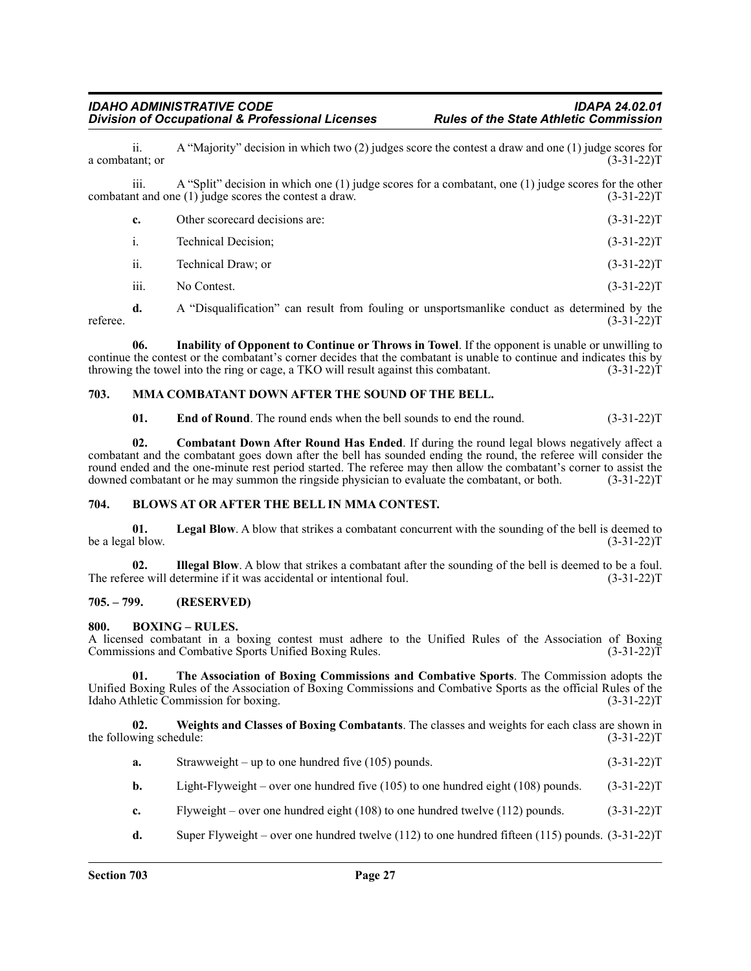ii. A "Majority" decision in which two (2) judges score the contest a draw and one (1) judge scores for  $(3-31-22)T$ a combatant; or

iii. A "Split" decision in which one (1) judge scores for a combatant, one (1) judge scores for the other combatant and one (1) judge scores the contest a draw. (3-31-22)T

| Other scorecard decisions are: | $(3-31-22)T$ |
|--------------------------------|--------------|
| Technical Decision:            | $(3-31-22)T$ |
|                                |              |

ii. Technical Draw; or (3-31-22)T

iii. No Contest.  $(3-31-22)T$ 

**d.** A "Disqualification" can result from fouling or unsportsmanlike conduct as determined by the (3-31-22) referee.  $(3-31-22)T$ 

**06. Inability of Opponent to Continue or Throws in Towel**. If the opponent is unable or unwilling to continue the contest or the combatant's corner decides that the combatant is unable to continue and indicates this by throwing the towel into the ring or cage, a TKO will result against this combatant. (3-31-22) throwing the towel into the ring or cage, a TKO will result against this combatant.

# <span id="page-26-0"></span>**703. MMA COMBATANT DOWN AFTER THE SOUND OF THE BELL.**

**01.** End of Round. The round ends when the bell sounds to end the round. (3-31-22)T

**02. Combatant Down After Round Has Ended**. If during the round legal blows negatively affect a combatant and the combatant goes down after the bell has sounded ending the round, the referee will consider the round ended and the one-minute rest period started. The referee may then allow the combatant's corner to assist the downed combatant or he may summon the ringside physician to evaluate the combatant, or both. (3-31-22) downed combatant or he may summon the ringside physician to evaluate the combatant, or both.

#### <span id="page-26-1"></span>**704. BLOWS AT OR AFTER THE BELL IN MMA CONTEST.**

**01.** Legal Blow. A blow that strikes a combatant concurrent with the sounding of the bell is deemed to l blow. (3-31-22) be a legal blow.

**02.** Illegal Blow. A blow that strikes a combatant after the sounding of the bell is deemed to be a foul. (3-31-22) (i.e. will determine if it was accidental or intentional foul. The referee will determine if it was accidental or intentional foul.

#### <span id="page-26-2"></span>**705. – 799. (RESERVED)**

#### <span id="page-26-3"></span>**800. BOXING – RULES.**

A licensed combatant in a boxing contest must adhere to the Unified Rules of the Association of Boxing Commissions and Combative Sports Unified Boxing Rules.

**01. The Association of Boxing Commissions and Combative Sports**. The Commission adopts the Unified Boxing Rules of the Association of Boxing Commissions and Combative Sports as the official Rules of the Idaho Athletic Commission for boxing. (3-31-22) Idaho Athletic Commission for boxing.

**02. Weights and Classes of Boxing Combatants**. The classes and weights for each class are shown in the following schedule: (3-31-22)T

- **a.** Strawweight up to one hundred five (105) pounds. (3-31-22)T
- **b.** Light-Flyweight over one hundred five (105) to one hundred eight (108) pounds. (3-31-22)T
- **c.** Flyweight over one hundred eight (108) to one hundred twelve (112) pounds. (3-31-22)T
- **d.** Super Flyweight over one hundred twelve (112) to one hundred fifteen (115) pounds. (3-31-22)T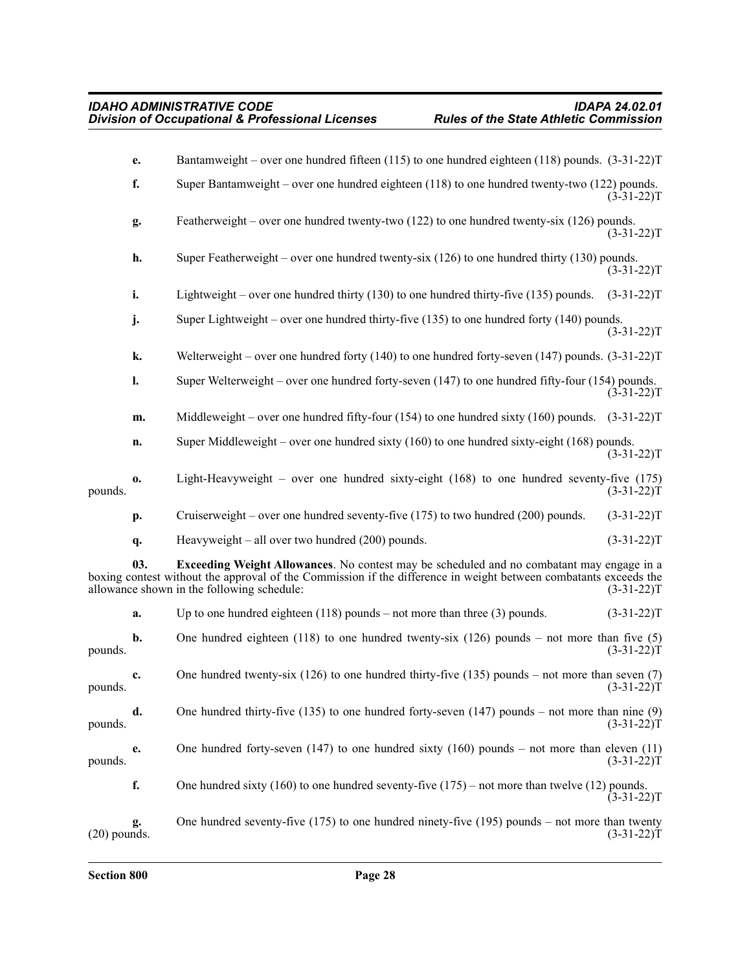|                | e.  | Bantamweight – over one hundred fifteen (115) to one hundred eighteen (118) pounds. $(3-31-22)$ T                                                                                                                                                                   |              |
|----------------|-----|---------------------------------------------------------------------------------------------------------------------------------------------------------------------------------------------------------------------------------------------------------------------|--------------|
|                | f.  | Super Bantamweight – over one hundred eighteen $(118)$ to one hundred twenty-two $(122)$ pounds.                                                                                                                                                                    | $(3-31-22)T$ |
|                | g.  | Featherweight – over one hundred twenty-two $(122)$ to one hundred twenty-six $(126)$ pounds.                                                                                                                                                                       | $(3-31-22)T$ |
|                | h.  | Super Featherweight – over one hundred twenty-six $(126)$ to one hundred thirty $(130)$ pounds.                                                                                                                                                                     | $(3-31-22)T$ |
|                | i.  | Lightweight – over one hundred thirty $(130)$ to one hundred thirty-five $(135)$ pounds.                                                                                                                                                                            | $(3-31-22)T$ |
|                | j.  | Super Lightweight - over one hundred thirty-five (135) to one hundred forty (140) pounds.                                                                                                                                                                           | $(3-31-22)T$ |
|                | k.  | Welterweight – over one hundred forty (140) to one hundred forty-seven (147) pounds. $(3-31-22)$ T                                                                                                                                                                  |              |
|                | l.  | Super Welterweight – over one hundred forty-seven $(147)$ to one hundred fifty-four $(154)$ pounds.                                                                                                                                                                 | $(3-31-22)T$ |
|                | m.  | Middleweight – over one hundred fifty-four (154) to one hundred sixty (160) pounds. $(3-31-22)$ T                                                                                                                                                                   |              |
|                | n.  | Super Middleweight – over one hundred sixty $(160)$ to one hundred sixty-eight $(168)$ pounds.                                                                                                                                                                      | $(3-31-22)T$ |
| pounds.        | 0.  | Light-Heavyweight – over one hundred sixty-eight $(168)$ to one hundred seventy-five $(175)$                                                                                                                                                                        | $(3-31-22)T$ |
|                | p.  | Cruiserweight – over one hundred seventy-five $(175)$ to two hundred $(200)$ pounds.                                                                                                                                                                                | $(3-31-22)T$ |
|                | q.  | Heavyweight $-$ all over two hundred (200) pounds.                                                                                                                                                                                                                  | $(3-31-22)T$ |
|                | 03. | <b>Exceeding Weight Allowances</b> . No contest may be scheduled and no combatant may engage in a<br>boxing contest without the approval of the Commission if the difference in weight between combatants exceeds the<br>allowance shown in the following schedule: | $(3-31-22)T$ |
|                | a.  | Up to one hundred eighteen $(118)$ pounds – not more than three $(3)$ pounds.                                                                                                                                                                                       | $(3-31-22)T$ |
| pounds.        | b.  | One hundred eighteen (118) to one hundred twenty-six (126) pounds – not more than five (5)                                                                                                                                                                          | $(3-31-22)T$ |
| pounds.        | c.  | One hundred twenty-six $(126)$ to one hundred thirty-five $(135)$ pounds – not more than seven $(7)$                                                                                                                                                                | $(3-31-22)T$ |
| pounds.        | d.  | One hundred thirty-five $(135)$ to one hundred forty-seven $(147)$ pounds – not more than nine $(9)$                                                                                                                                                                | $(3-31-22)T$ |
| pounds.        | e.  | One hundred forty-seven (147) to one hundred sixty (160) pounds – not more than eleven (11)                                                                                                                                                                         | $(3-31-22)T$ |
|                | f.  | One hundred sixty (160) to one hundred seventy-five $(175)$ – not more than twelve (12) pounds.                                                                                                                                                                     | $(3-31-22)T$ |
| $(20)$ pounds. | g.  | One hundred seventy-five $(175)$ to one hundred ninety-five $(195)$ pounds – not more than twenty                                                                                                                                                                   | $(3-31-22)T$ |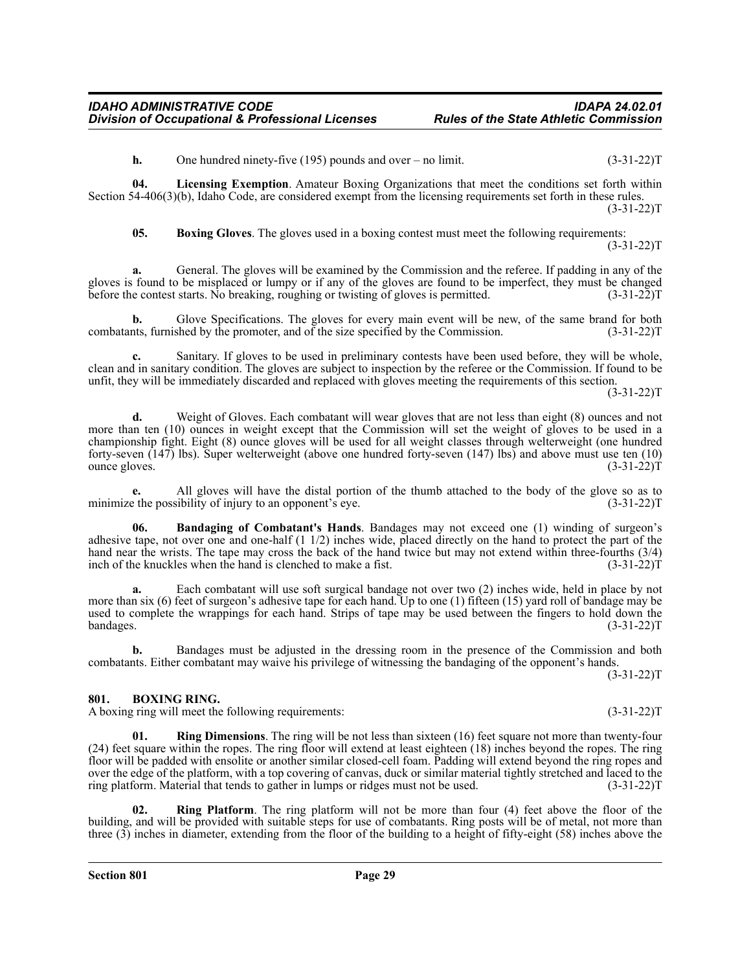**h.** One hundred ninety-five (195) pounds and over – no limit. (3-31-22)T

**04. Licensing Exemption**. Amateur Boxing Organizations that meet the conditions set forth within Section 54-406(3)(b), Idaho Code, are considered exempt from the licensing requirements set forth in these rules.  $(3-31-22)T$ 

**05. Boxing Gloves**. The gloves used in a boxing contest must meet the following requirements:

 $(3-31-22)T$ 

**a.** General. The gloves will be examined by the Commission and the referee. If padding in any of the gloves is found to be misplaced or lumpy or if any of the gloves are found to be imperfect, they must be changed<br>before the contest starts. No breaking, roughing or twisting of gloves is permitted. (3-31-22) before the contest starts. No breaking, roughing or twisting of gloves is permitted.

**b.** Glove Specifications. The gloves for every main event will be new, of the same brand for both nts, furnished by the promoter, and of the size specified by the Commission. (3-31-22) combatants, furnished by the promoter, and of the size specified by the Commission.

Sanitary. If gloves to be used in preliminary contests have been used before, they will be whole, clean and in sanitary condition. The gloves are subject to inspection by the referee or the Commission. If found to be unfit, they will be immediately discarded and replaced with gloves meeting the requirements of this section.

 $(3-31-22)T$ 

**d.** Weight of Gloves. Each combatant will wear gloves that are not less than eight (8) ounces and not more than ten (10) ounces in weight except that the Commission will set the weight of gloves to be used in a championship fight. Eight (8) ounce gloves will be used for all weight classes through welterweight (one hundred forty-seven (147) lbs). Super welterweight (above one hundred forty-seven (147) lbs) and above must use ten (10) ounce gloves. (3-31-22)T

**e.** All gloves will have the distal portion of the thumb attached to the body of the glove so as to minimize the possibility of injury to an opponent's eye. (3-31-22) T

**06. Bandaging of Combatant's Hands**. Bandages may not exceed one (1) winding of surgeon's adhesive tape, not over one and one-half (1 1/2) inches wide, placed directly on the hand to protect the part of the hand near the wrists. The tape may cross the back of the hand twice but may not extend within three-fourths (3/4) inch of the knuckles when the hand is clenched to make a fist. (3-31-22) inch of the knuckles when the hand is clenched to make a fist.

**a.** Each combatant will use soft surgical bandage not over two (2) inches wide, held in place by not more than six (6) feet of surgeon's adhesive tape for each hand. Up to one (1) fifteen (15) yard roll of bandage may be used to complete the wrappings for each hand. Strips of tape may be used between the fingers to hold down the bandages. (3-31-22) bandages. (3-31-22)T

**b.** Bandages must be adjusted in the dressing room in the presence of the Commission and both combatants. Either combatant may waive his privilege of witnessing the bandaging of the opponent's hands.

 $(3-31-22)T$ 

#### <span id="page-28-0"></span>**801. BOXING RING.**

A boxing ring will meet the following requirements: (3-31-22)T

**Ring Dimensions**. The ring will be not less than sixteen (16) feet square not more than twenty-four (24) feet square within the ropes. The ring floor will extend at least eighteen (18) inches beyond the ropes. The ring floor will be padded with ensolite or another similar closed-cell foam. Padding will extend beyond the ring ropes and over the edge of the platform, with a top covering of canvas, duck or similar material tightly stretched and laced to the ring platform. Material that tends to gather in lumps or ridges must not be used. (3-31-22)T

**02. Ring Platform**. The ring platform will not be more than four (4) feet above the floor of the building, and will be provided with suitable steps for use of combatants. Ring posts will be of metal, not more than three (3) inches in diameter, extending from the floor of the building to a height of fifty-eight (58) inches above the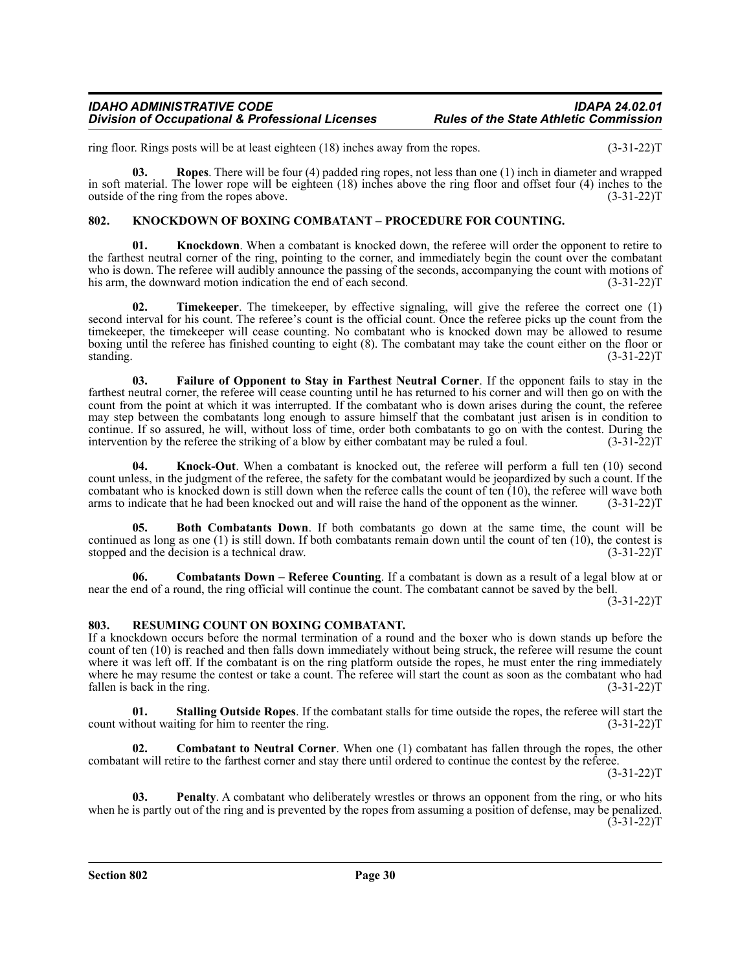ring floor. Rings posts will be at least eighteen (18) inches away from the ropes. (3-31-22)T

**03. Ropes**. There will be four (4) padded ring ropes, not less than one (1) inch in diameter and wrapped in soft material. The lower rope will be eighteen (18) inches above the ring floor and offset four (4) inches to the outside of the ring from the ropes above. (3-31-22)T

# <span id="page-29-0"></span>**802. KNOCKDOWN OF BOXING COMBATANT – PROCEDURE FOR COUNTING.**

**01.** Knockdown. When a combatant is knocked down, the referee will order the opponent to retire to the farthest neutral corner of the ring, pointing to the corner, and immediately begin the count over the combatant who is down. The referee will audibly announce the passing of the seconds, accompanying the count with motions of his arm, the downward motion indication the end of each second. (3-31-22) T

**02. Timekeeper**. The timekeeper, by effective signaling, will give the referee the correct one (1) second interval for his count. The referee's count is the official count. Once the referee picks up the count from the timekeeper, the timekeeper will cease counting. No combatant who is knocked down may be allowed to resume boxing until the referee has finished counting to eight (8). The combatant may take the count either on the floor or standing. (3-31-22)T

**03. Failure of Opponent to Stay in Farthest Neutral Corner**. If the opponent fails to stay in the farthest neutral corner, the referee will cease counting until he has returned to his corner and will then go on with the count from the point at which it was interrupted. If the combatant who is down arises during the count, the referee may step between the combatants long enough to assure himself that the combatant just arisen is in condition to continue. If so assured, he will, without loss of time, order both combatants to go on with the contest. During the intervention by the referee the striking of a blow by either combatant may be ruled a foul. (3-31-22)T

**04. Knock-Out**. When a combatant is knocked out, the referee will perform a full ten (10) second count unless, in the judgment of the referee, the safety for the combatant would be jeopardized by such a count. If the combatant who is knocked down is still down when the referee calls the count of ten (10), the referee will wave both arms to indicate that he had been knocked out and will raise the hand of the opponent as the winner. (3-31-22)T

**05. Both Combatants Down**. If both combatants go down at the same time, the count will be continued as long as one (1) is still down. If both combatants remain down until the count of ten (10), the contest is stopped and the decision is a technical draw.  $(3-31-22)$ stopped and the decision is a technical draw.

**06. Combatants Down – Referee Counting**. If a combatant is down as a result of a legal blow at or near the end of a round, the ring official will continue the count. The combatant cannot be saved by the bell.

(3-31-22)T

# <span id="page-29-1"></span>**803. RESUMING COUNT ON BOXING COMBATANT.**

If a knockdown occurs before the normal termination of a round and the boxer who is down stands up before the count of ten (10) is reached and then falls down immediately without being struck, the referee will resume the count where it was left off. If the combatant is on the ring platform outside the ropes, he must enter the ring immediately where he may resume the contest or take a count. The referee will start the count as soon as the combatant who had fallen is back in the ring. (3-31-22)T

**01. Stalling Outside Ropes**. If the combatant stalls for time outside the ropes, the referee will start the count without waiting for him to reenter the ring. (3-31-22)T

**02. Combatant to Neutral Corner**. When one (1) combatant has fallen through the ropes, the other combatant will retire to the farthest corner and stay there until ordered to continue the contest by the referee.

 $(3-31-22)T$ 

**03. Penalty**. A combatant who deliberately wrestles or throws an opponent from the ring, or who hits when he is partly out of the ring and is prevented by the ropes from assuming a position of defense, may be penalized.  $(3-31-22)T$